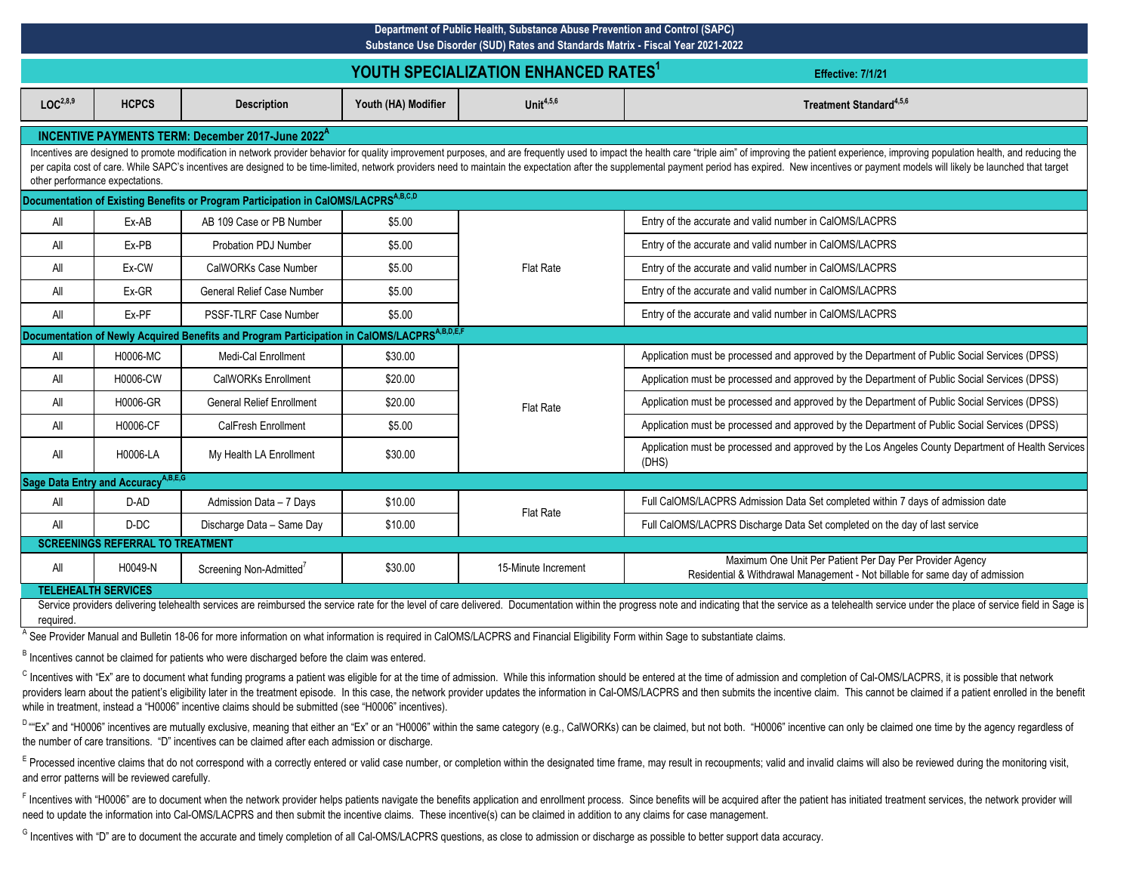|                                                                                                                                                                                                                                                                                                                                                                                                                                                                                                    | Department of Public Health, Substance Abuse Prevention and Control (SAPC)<br>Substance Use Disorder (SUD) Rates and Standards Matrix - Fiscal Year 2021-2022 |                                                                                                          |                     |                     |                                                                                                                                                                                                                                |  |  |  |
|----------------------------------------------------------------------------------------------------------------------------------------------------------------------------------------------------------------------------------------------------------------------------------------------------------------------------------------------------------------------------------------------------------------------------------------------------------------------------------------------------|---------------------------------------------------------------------------------------------------------------------------------------------------------------|----------------------------------------------------------------------------------------------------------|---------------------|---------------------|--------------------------------------------------------------------------------------------------------------------------------------------------------------------------------------------------------------------------------|--|--|--|
|                                                                                                                                                                                                                                                                                                                                                                                                                                                                                                    | YOUTH SPECIALIZATION ENHANCED RATES <sup>1</sup><br>Effective: 7/1/21                                                                                         |                                                                                                          |                     |                     |                                                                                                                                                                                                                                |  |  |  |
| LOC <sup>2,8,9</sup>                                                                                                                                                                                                                                                                                                                                                                                                                                                                               | <b>HCPCS</b>                                                                                                                                                  | <b>Description</b>                                                                                       | Youth (HA) Modifier | Unit $4,5,6$        | Treatment Standard <sup>4,5,6</sup>                                                                                                                                                                                            |  |  |  |
|                                                                                                                                                                                                                                                                                                                                                                                                                                                                                                    | INCENTIVE PAYMENTS TERM: December 2017-June 2022 <sup>A</sup>                                                                                                 |                                                                                                          |                     |                     |                                                                                                                                                                                                                                |  |  |  |
| Incentives are designed to promote modification in network provider behavior for quality improvement purposes, and are frequently used to impact the health care "triple aim" of improving the patient experience, improving p<br>per capita cost of care. While SAPC's incentives are designed to be time-limited, network providers need to maintain the expectation after the supplemental payment period has expired. New incentives or payment models will<br>other performance expectations. |                                                                                                                                                               |                                                                                                          |                     |                     |                                                                                                                                                                                                                                |  |  |  |
|                                                                                                                                                                                                                                                                                                                                                                                                                                                                                                    |                                                                                                                                                               | Documentation of Existing Benefits or Program Participation in CalOMS/LACPRS <sup>A,B,C,D</sup>          |                     |                     |                                                                                                                                                                                                                                |  |  |  |
| All                                                                                                                                                                                                                                                                                                                                                                                                                                                                                                | Ex-AB                                                                                                                                                         | AB 109 Case or PB Number                                                                                 | \$5.00              |                     | Entry of the accurate and valid number in CalOMS/LACPRS                                                                                                                                                                        |  |  |  |
| All                                                                                                                                                                                                                                                                                                                                                                                                                                                                                                | Ex-PB                                                                                                                                                         | <b>Probation PDJ Number</b>                                                                              | \$5.00              |                     | Entry of the accurate and valid number in CalOMS/LACPRS                                                                                                                                                                        |  |  |  |
| All                                                                                                                                                                                                                                                                                                                                                                                                                                                                                                | Ex-CW                                                                                                                                                         | CalWORKs Case Number                                                                                     | \$5.00              | <b>Flat Rate</b>    | Entry of the accurate and valid number in CalOMS/LACPRS                                                                                                                                                                        |  |  |  |
| All                                                                                                                                                                                                                                                                                                                                                                                                                                                                                                | Ex-GR                                                                                                                                                         | <b>General Relief Case Number</b>                                                                        | \$5.00              |                     | Entry of the accurate and valid number in CalOMS/LACPRS                                                                                                                                                                        |  |  |  |
| All                                                                                                                                                                                                                                                                                                                                                                                                                                                                                                | Ex-PF                                                                                                                                                         | PSSF-TLRF Case Number                                                                                    | \$5.00              |                     | Entry of the accurate and valid number in CalOMS/LACPRS                                                                                                                                                                        |  |  |  |
|                                                                                                                                                                                                                                                                                                                                                                                                                                                                                                    |                                                                                                                                                               | Documentation of Newly Acquired Benefits and Program Participation in CalOMS/LACPRS <sup>A,B,D,E,F</sup> |                     |                     |                                                                                                                                                                                                                                |  |  |  |
| All                                                                                                                                                                                                                                                                                                                                                                                                                                                                                                | H0006-MC                                                                                                                                                      | Medi-Cal Enrollment                                                                                      | \$30.00             |                     | Application must be processed and approved by the Department of Public Social Services (DPSS)                                                                                                                                  |  |  |  |
| All                                                                                                                                                                                                                                                                                                                                                                                                                                                                                                | H0006-CW                                                                                                                                                      | <b>CalWORKs Enrollment</b>                                                                               | \$20.00             |                     | Application must be processed and approved by the Department of Public Social Services (DPSS)                                                                                                                                  |  |  |  |
| All                                                                                                                                                                                                                                                                                                                                                                                                                                                                                                | H0006-GR                                                                                                                                                      | <b>General Relief Enrollment</b>                                                                         | \$20.00             | <b>Flat Rate</b>    | Application must be processed and approved by the Department of Public Social Services (DPSS)                                                                                                                                  |  |  |  |
| All                                                                                                                                                                                                                                                                                                                                                                                                                                                                                                | H0006-CF                                                                                                                                                      | <b>CalFresh Enrollment</b>                                                                               | \$5.00              |                     | Application must be processed and approved by the Department of Public Social Services (DPSS)                                                                                                                                  |  |  |  |
| All                                                                                                                                                                                                                                                                                                                                                                                                                                                                                                | H0006-LA                                                                                                                                                      | My Health LA Enrollment                                                                                  | \$30.00             |                     | Application must be processed and approved by the Los Angeles County Department of Health Services<br>(DHS)                                                                                                                    |  |  |  |
|                                                                                                                                                                                                                                                                                                                                                                                                                                                                                                    | Sage Data Entry and Accuracy <sup>A,B,E,G</sup>                                                                                                               |                                                                                                          |                     |                     |                                                                                                                                                                                                                                |  |  |  |
| All                                                                                                                                                                                                                                                                                                                                                                                                                                                                                                | D-AD                                                                                                                                                          | Admission Data - 7 Days                                                                                  | \$10.00             | Flat Rate           | Full CalOMS/LACPRS Admission Data Set completed within 7 days of admission date                                                                                                                                                |  |  |  |
| All                                                                                                                                                                                                                                                                                                                                                                                                                                                                                                | D-DC                                                                                                                                                          | Discharge Data - Same Day                                                                                | \$10.00             |                     | Full CalOMS/LACPRS Discharge Data Set completed on the day of last service                                                                                                                                                     |  |  |  |
|                                                                                                                                                                                                                                                                                                                                                                                                                                                                                                    | <b>SCREENINGS REFERRAL TO TREATMENT</b>                                                                                                                       |                                                                                                          |                     |                     |                                                                                                                                                                                                                                |  |  |  |
| All                                                                                                                                                                                                                                                                                                                                                                                                                                                                                                | H0049-N                                                                                                                                                       | Screening Non-Admitted <sup>7</sup>                                                                      | \$30.00             | 15-Minute Increment | Maximum One Unit Per Patient Per Day Per Provider Agency<br>Residential & Withdrawal Management - Not billable for same day of admission                                                                                       |  |  |  |
|                                                                                                                                                                                                                                                                                                                                                                                                                                                                                                    | <b>TELEHEALTH SERVICES</b>                                                                                                                                    |                                                                                                          |                     |                     | Service providers delivering telehealth services are reimbursed the service rate for the level of care delivered. Documentation within the progress note and indicating that the service as a telehealth service under the pla |  |  |  |

required.

A See Provider Manual and Bulletin 18-06 for more information on what information is required in CalOMS/LACPRS and Financial Eligibility Form within Sage to substantiate claims.

B Incentives cannot be claimed for patients who were discharged before the claim was entered.

<sup>C</sup> Incentives with "Ex" are to document what funding programs a patient was eligible for at the time of admission. While this information should be entered at the time of admission and completion of Cal-OMS/LACPRS, it is providers learn about the patient's eligibility later in the treatment episode. In this case, the network provider updates the information in Cal-OMS/LACPRS and then submits the incentive claim. This cannot be claimed if a while in treatment, instead a "H0006" incentive claims should be submitted (see "H0006" incentives).

<sup>D</sup> ""Ex" and "H0006" incentives are mutually exclusive, meaning that either an "Ex" or an "H0006" within the same category (e.g., CalWORKs) can be claimed, but not both. "H0006" incentive can only be claimed one time by t the number of care transitions. "D" incentives can be claimed after each admission or discharge.

E Processed incentive claims that do not correspond with a correctly entered or valid case number, or completion within the designated time frame, may result in recoupments; valid and invalid claims will also be reviewed d and error patterns will be reviewed carefully.

F Incentives with "H0006" are to document when the network provider helps patients navigate the benefits application and enrollment process. Since benefits will be acquired after the patient has initiated treatment service need to update the information into Cal-OMS/LACPRS and then submit the incentive claims. These incentive(s) can be claimed in addition to any claims for case management.

G Incentives with "D" are to document the accurate and timely completion of all Cal-OMS/LACPRS questions, as close to admission or discharge as possible to better support data accuracy.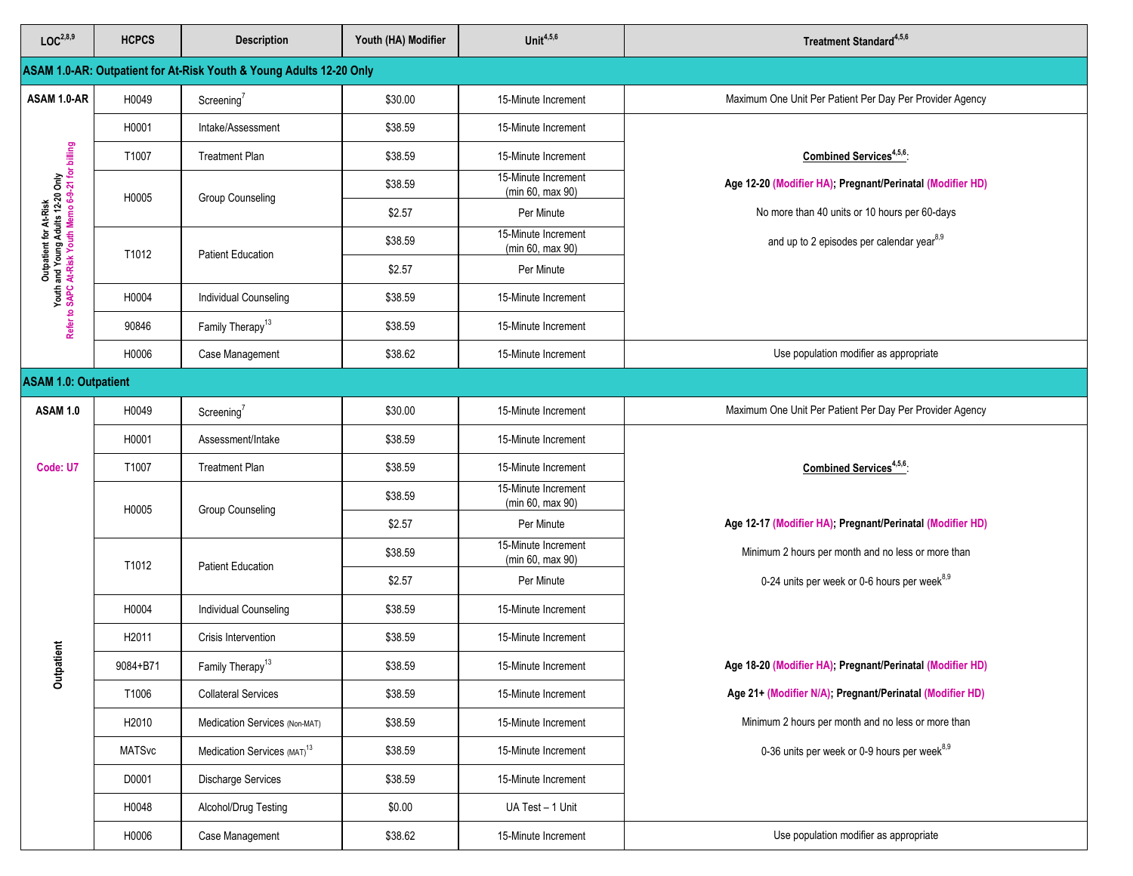| LOC <sup>2,8,9</sup>                                                                                              | <b>HCPCS</b>      | <b>Description</b>                                                  | Youth (HA) Modifier | Unit $4,5,6$                            | Treatment Standard <sup>4,5,6</sup>                       |
|-------------------------------------------------------------------------------------------------------------------|-------------------|---------------------------------------------------------------------|---------------------|-----------------------------------------|-----------------------------------------------------------|
|                                                                                                                   |                   | ASAM 1.0-AR: Outpatient for At-Risk Youth & Young Adults 12-20 Only |                     |                                         |                                                           |
| ASAM 1.0-AR                                                                                                       | H0049             | Screening <sup>7</sup>                                              | \$30.00             | 15-Minute Increment                     | Maximum One Unit Per Patient Per Day Per Provider Agency  |
|                                                                                                                   | H0001             | Intake/Assessment                                                   | \$38.59             | 15-Minute Increment                     |                                                           |
|                                                                                                                   | T1007             | <b>Treatment Plan</b>                                               | \$38.59             | 15-Minute Increment                     | Combined Services <sup>4,5,6</sup>                        |
|                                                                                                                   | H0005             | Group Counseling                                                    | \$38.59             | 15-Minute Increment<br>(min 60, max 90) | Age 12-20 (Modifier HA); Pregnant/Perinatal (Modifier HD) |
|                                                                                                                   |                   |                                                                     | \$2.57              | Per Minute                              | No more than 40 units or 10 hours per 60-days             |
| Outpatient for AFRIsk<br>Youth and Young Adults 12-20 Only<br>Refer to SAPC At-Risk Youth Memo 6-9-21 for billing | T1012             | <b>Patient Education</b>                                            | \$38.59             | 15-Minute Increment<br>(min 60, max 90) | and up to 2 episodes per calendar year <sup>8,9</sup>     |
|                                                                                                                   |                   |                                                                     | \$2.57              | Per Minute                              |                                                           |
|                                                                                                                   | H0004             | Individual Counseling                                               | \$38.59             | 15-Minute Increment                     |                                                           |
|                                                                                                                   | 90846             | Family Therapy <sup>13</sup>                                        | \$38.59             | 15-Minute Increment                     |                                                           |
|                                                                                                                   | H0006             | Case Management                                                     | \$38.62             | 15-Minute Increment                     | Use population modifier as appropriate                    |
| <b>ASAM 1.0: Outpatient</b>                                                                                       |                   |                                                                     |                     |                                         |                                                           |
| <b>ASAM 1.0</b>                                                                                                   | H0049             | Screening <sup>7</sup>                                              | \$30.00             | 15-Minute Increment                     | Maximum One Unit Per Patient Per Day Per Provider Agency  |
|                                                                                                                   | H0001             | Assessment/Intake                                                   | \$38.59             | 15-Minute Increment                     |                                                           |
| Code: U7                                                                                                          | T1007             | <b>Treatment Plan</b>                                               | \$38.59             | 15-Minute Increment                     | Combined Services <sup>4,5,6</sup> :                      |
|                                                                                                                   | H0005             | <b>Group Counseling</b>                                             | \$38.59             | 15-Minute Increment<br>(min 60, max 90) |                                                           |
|                                                                                                                   |                   |                                                                     | \$2.57              | Per Minute                              | Age 12-17 (Modifier HA), Pregnant/Perinatal (Modifier HD) |
|                                                                                                                   | T1012             | <b>Patient Education</b>                                            | \$38.59             | 15-Minute Increment<br>(min 60, max 90) | Minimum 2 hours per month and no less or more than        |
|                                                                                                                   |                   |                                                                     | \$2.57              | Per Minute                              | 0-24 units per week or 0-6 hours per week <sup>8,9</sup>  |
|                                                                                                                   | H0004             | <b>Individual Counseling</b>                                        | \$38.59             | 15-Minute Increment                     |                                                           |
|                                                                                                                   | H <sub>2011</sub> | Crisis Intervention                                                 | \$38.59             | 15-Minute Increment                     |                                                           |
| Outpatient                                                                                                        | 9084+B71          | Family Therapy <sup>13</sup>                                        | \$38.59             | 15-Minute Increment                     | Age 18-20 (Modifier HA); Pregnant/Perinatal (Modifier HD) |
|                                                                                                                   | T1006             | <b>Collateral Services</b>                                          | \$38.59             | 15-Minute Increment                     | Age 21+ (Modifier N/A); Pregnant/Perinatal (Modifier HD)  |
|                                                                                                                   | H2010             | Medication Services (Non-MAT)                                       | \$38.59             | 15-Minute Increment                     | Minimum 2 hours per month and no less or more than        |
|                                                                                                                   | <b>MATSvc</b>     | Medication Services (MAT) <sup>13</sup>                             | \$38.59             | 15-Minute Increment                     | 0-36 units per week or 0-9 hours per week <sup>8,9</sup>  |
|                                                                                                                   | D0001             | Discharge Services                                                  | \$38.59             | 15-Minute Increment                     |                                                           |
|                                                                                                                   | H0048             | Alcohol/Drug Testing                                                | \$0.00              | UA Test - 1 Unit                        |                                                           |
|                                                                                                                   | H0006             | Case Management                                                     | \$38.62             | 15-Minute Increment                     | Use population modifier as appropriate                    |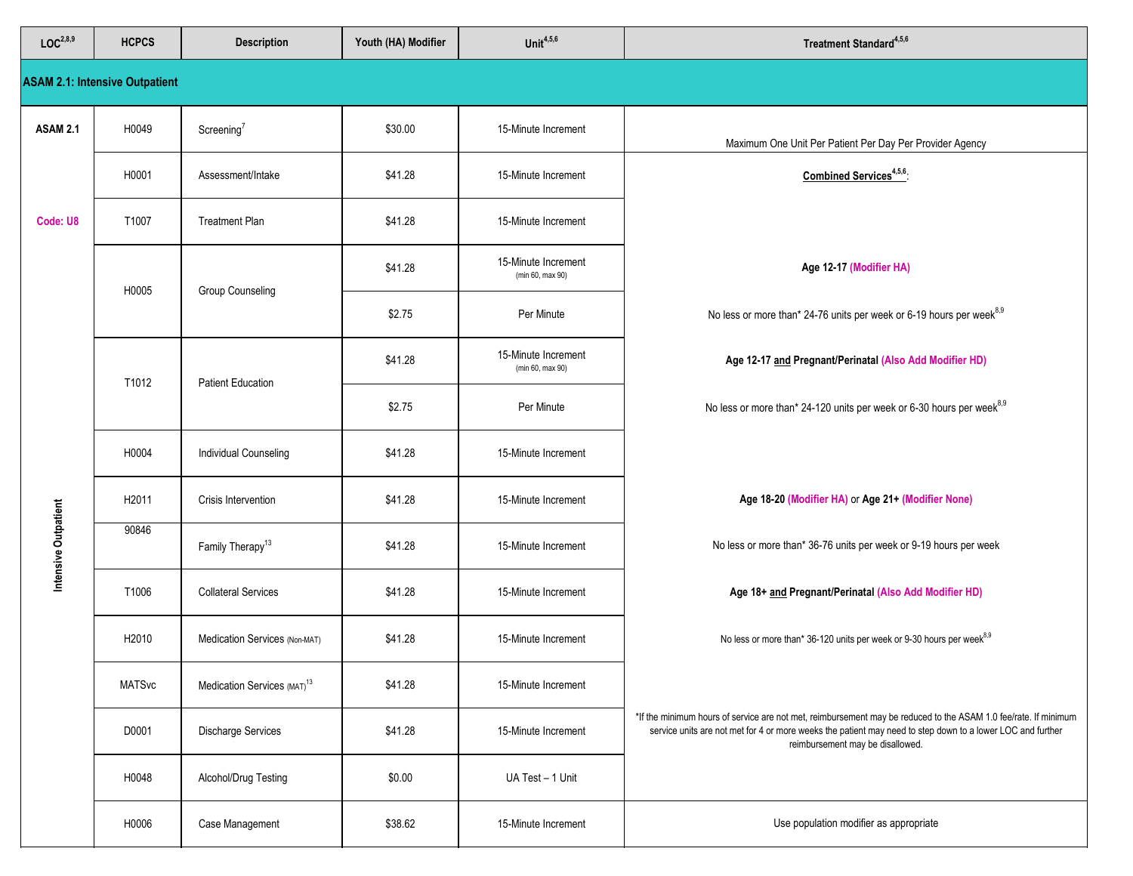| LOC <sup>2,8,9</sup> | <b>HCPCS</b>                          | <b>Description</b>                      | Youth (HA) Modifier | Unit $4,5,6$                            | Treatment Standard <sup>4,5,6</sup>                                                                                                                                                                                                                               |
|----------------------|---------------------------------------|-----------------------------------------|---------------------|-----------------------------------------|-------------------------------------------------------------------------------------------------------------------------------------------------------------------------------------------------------------------------------------------------------------------|
|                      | <b>ASAM 2.1: Intensive Outpatient</b> |                                         |                     |                                         |                                                                                                                                                                                                                                                                   |
| <b>ASAM 2.1</b>      | H0049                                 | Screening <sup>7</sup>                  | \$30.00             | 15-Minute Increment                     | Maximum One Unit Per Patient Per Day Per Provider Agency                                                                                                                                                                                                          |
|                      | H0001                                 | Assessment/Intake                       | \$41.28             | 15-Minute Increment                     | Combined Services <sup>4,5,6</sup> :                                                                                                                                                                                                                              |
| Code: U8             | T1007                                 | <b>Treatment Plan</b>                   | \$41.28             | 15-Minute Increment                     |                                                                                                                                                                                                                                                                   |
|                      | H0005                                 | Group Counseling                        | \$41.28             | 15-Minute Increment<br>(min 60, max 90) | Age 12-17 (Modifier HA)                                                                                                                                                                                                                                           |
|                      |                                       |                                         | \$2.75              | Per Minute                              | No less or more than* 24-76 units per week or 6-19 hours per week <sup>8,9</sup>                                                                                                                                                                                  |
|                      | T1012                                 | <b>Patient Education</b>                | \$41.28             | 15-Minute Increment<br>(min 60, max 90) | Age 12-17 and Pregnant/Perinatal (Also Add Modifier HD)                                                                                                                                                                                                           |
|                      |                                       |                                         | \$2.75              | Per Minute                              | No less or more than* 24-120 units per week or 6-30 hours per week <sup>8,9</sup>                                                                                                                                                                                 |
|                      | H0004                                 | <b>Individual Counseling</b>            | \$41.28             | 15-Minute Increment                     |                                                                                                                                                                                                                                                                   |
|                      | H <sub>2011</sub>                     | Crisis Intervention                     | \$41.28             | 15-Minute Increment                     | Age 18-20 (Modifier HA) or Age 21+ (Modifier None)                                                                                                                                                                                                                |
| Intensive Outpatient | 90846                                 | Family Therapy <sup>13</sup>            | \$41.28             | 15-Minute Increment                     | No less or more than* 36-76 units per week or 9-19 hours per week                                                                                                                                                                                                 |
|                      | T1006                                 | <b>Collateral Services</b>              | \$41.28             | 15-Minute Increment                     | Age 18+ and Pregnant/Perinatal (Also Add Modifier HD)                                                                                                                                                                                                             |
|                      | H2010                                 | Medication Services (Non-MAT)           | \$41.28             | 15-Minute Increment                     | No less or more than* 36-120 units per week or 9-30 hours per week <sup>8,9</sup>                                                                                                                                                                                 |
|                      | <b>MATSvc</b>                         | Medication Services (MAT) <sup>13</sup> | \$41.28             | 15-Minute Increment                     |                                                                                                                                                                                                                                                                   |
|                      | D0001                                 | <b>Discharge Services</b>               | \$41.28             | 15-Minute Increment                     | *If the minimum hours of service are not met, reimbursement may be reduced to the ASAM 1.0 fee/rate. If minimum<br>service units are not met for 4 or more weeks the patient may need to step down to a lower LOC and further<br>reimbursement may be disallowed. |
|                      | H0048                                 | Alcohol/Drug Testing                    | \$0.00              | UA Test - 1 Unit                        |                                                                                                                                                                                                                                                                   |
|                      | H0006                                 | Case Management                         | \$38.62             | 15-Minute Increment                     | Use population modifier as appropriate                                                                                                                                                                                                                            |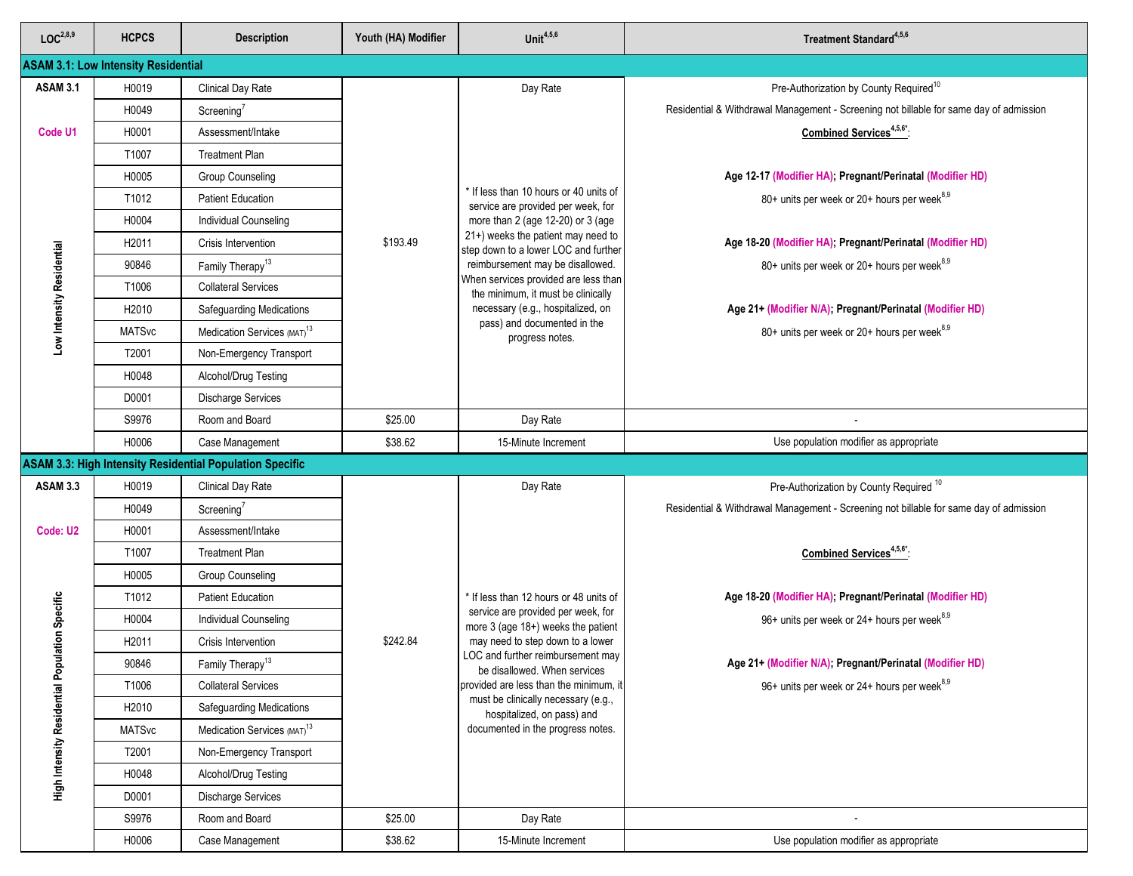| LOC <sup>2,8,9</sup>                  | <b>HCPCS</b>                               | <b>Description</b>                                              | Youth (HA) Modifier | Unit $4,5,6$                                                                  | Treatment Standard <sup>4,5,6</sup>                                                    |
|---------------------------------------|--------------------------------------------|-----------------------------------------------------------------|---------------------|-------------------------------------------------------------------------------|----------------------------------------------------------------------------------------|
|                                       | <b>ASAM 3.1: Low Intensity Residential</b> |                                                                 |                     |                                                                               |                                                                                        |
| <b>ASAM 3.1</b>                       | H0019                                      | Clinical Day Rate                                               |                     | Day Rate                                                                      | Pre-Authorization by County Required <sup>10</sup>                                     |
|                                       | H0049                                      | Screening <sup>7</sup>                                          |                     |                                                                               | Residential & Withdrawal Management - Screening not billable for same day of admission |
| Code U1                               | H0001                                      | Assessment/Intake                                               |                     |                                                                               | Combined Services <sup>4,5,6*</sup>                                                    |
|                                       | T1007                                      | <b>Treatment Plan</b>                                           |                     |                                                                               |                                                                                        |
|                                       | H0005                                      | Group Counseling                                                |                     |                                                                               | Age 12-17 (Modifier HA), Pregnant/Perinatal (Modifier HD)                              |
|                                       | T1012                                      | <b>Patient Education</b>                                        |                     | * If less than 10 hours or 40 units of<br>service are provided per week, for  | 80+ units per week or 20+ hours per week <sup>8,9</sup>                                |
|                                       | H0004                                      | <b>Individual Counseling</b>                                    |                     | more than 2 (age 12-20) or 3 (age                                             |                                                                                        |
|                                       | H <sub>2011</sub>                          | Crisis Intervention                                             | \$193.49            | 21+) weeks the patient may need to<br>step down to a lower LOC and further    | Age 18-20 (Modifier HA); Pregnant/Perinatal (Modifier HD)                              |
| Low Intensity Residential             | 90846                                      | Family Therapy <sup>13</sup>                                    |                     | reimbursement may be disallowed.                                              | 80+ units per week or 20+ hours per week <sup>8,9</sup>                                |
|                                       | T1006                                      | <b>Collateral Services</b>                                      |                     | When services provided are less than<br>the minimum, it must be clinically    |                                                                                        |
|                                       | H2010                                      | Safeguarding Medications                                        |                     | necessary (e.g., hospitalized, on                                             | Age 21+ (Modifier N/A); Pregnant/Perinatal (Modifier HD)                               |
|                                       | <b>MATSvc</b>                              | Medication Services (MAT) <sup>13</sup>                         |                     | pass) and documented in the<br>progress notes.                                | 80+ units per week or 20+ hours per week <sup>8,9</sup>                                |
|                                       | T2001                                      | Non-Emergency Transport                                         |                     |                                                                               |                                                                                        |
|                                       | H0048                                      | Alcohol/Drug Testing                                            |                     |                                                                               |                                                                                        |
|                                       | D0001                                      | <b>Discharge Services</b>                                       |                     |                                                                               |                                                                                        |
|                                       | S9976                                      | Room and Board                                                  | \$25.00             | Day Rate                                                                      |                                                                                        |
|                                       | H0006                                      | Case Management                                                 | \$38.62             | 15-Minute Increment                                                           | Use population modifier as appropriate                                                 |
|                                       |                                            | <b>ASAM 3.3: High Intensity Residential Population Specific</b> |                     |                                                                               |                                                                                        |
| <b>ASAM 3.3</b>                       | H0019                                      | Clinical Day Rate                                               |                     | Day Rate                                                                      | Pre-Authorization by County Required <sup>10</sup>                                     |
|                                       | H0049                                      | Screening $7$                                                   |                     |                                                                               | Residential & Withdrawal Management - Screening not billable for same day of admission |
| Code: U2                              | H0001                                      | Assessment/Intake                                               |                     |                                                                               |                                                                                        |
|                                       | T1007                                      | <b>Treatment Plan</b>                                           |                     |                                                                               | Combined Services <sup>4,5,6*</sup>                                                    |
|                                       | H0005                                      | Group Counseling                                                |                     |                                                                               |                                                                                        |
|                                       | T1012                                      | <b>Patient Education</b>                                        |                     | * If less than 12 hours or 48 units of                                        | Age 18-20 (Modifier HA); Pregnant/Perinatal (Modifier HD)                              |
| ulation Specific                      | H0004                                      | Individual Counseling                                           |                     | service are provided per week, for<br>more 3 (age 18+) weeks the patient      | 96+ units per week or 24+ hours per week <sup>8,9</sup>                                |
|                                       | H2011                                      | Crisis Intervention                                             | \$242.84            | may need to step down to a lower<br>LOC and further reimbursement may         |                                                                                        |
|                                       | 90846                                      | Family Therapy <sup>13</sup>                                    |                     | be disallowed. When services                                                  | Age 21+ (Modifier N/A); Pregnant/Perinatal (Modifier HD)                               |
|                                       | T1006                                      | <b>Collateral Services</b>                                      |                     | provided are less than the minimum, it<br>must be clinically necessary (e.g., | 96+ units per week or 24+ hours per week <sup>8,9</sup>                                |
|                                       | H2010                                      | <b>Safeguarding Medications</b>                                 |                     | hospitalized, on pass) and                                                    |                                                                                        |
|                                       | <b>MATSvc</b>                              | Medication Services (MAT) <sup>13</sup>                         |                     | documented in the progress notes.                                             |                                                                                        |
|                                       | T2001                                      | Non-Emergency Transport                                         |                     |                                                                               |                                                                                        |
| <b>High Intensity Residential Pop</b> | H0048                                      | Alcohol/Drug Testing                                            |                     |                                                                               |                                                                                        |
|                                       | D0001                                      | <b>Discharge Services</b>                                       |                     |                                                                               |                                                                                        |
|                                       | S9976                                      | Room and Board                                                  | \$25.00             | Day Rate                                                                      |                                                                                        |
|                                       | H0006                                      | Case Management                                                 | \$38.62             | 15-Minute Increment                                                           | Use population modifier as appropriate                                                 |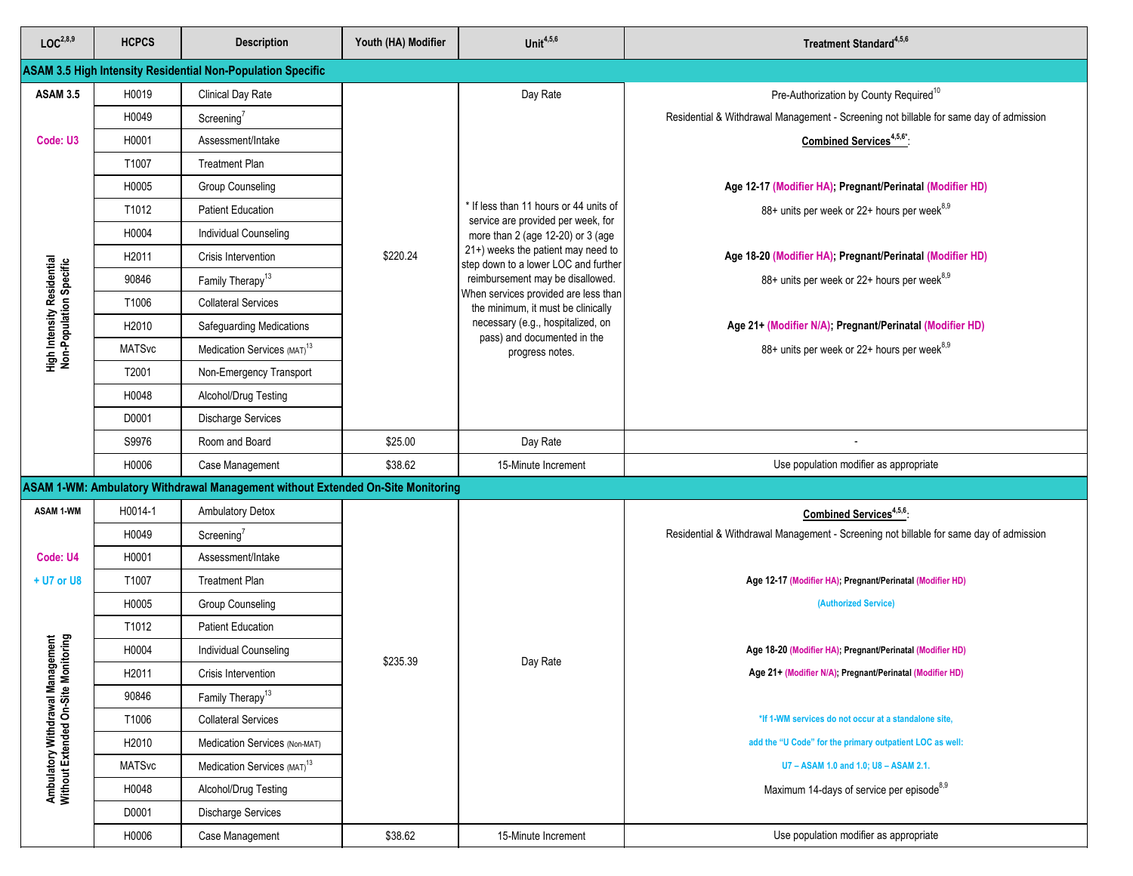| LOC <sup>2,8,9</sup>                                         | <b>HCPCS</b>  | <b>Description</b>                                                              | Youth (HA) Modifier | Unit $4,5,6$                                                                 | Treatment Standard <sup>4,5,6</sup>                                                    |
|--------------------------------------------------------------|---------------|---------------------------------------------------------------------------------|---------------------|------------------------------------------------------------------------------|----------------------------------------------------------------------------------------|
|                                                              |               | <b>ASAM 3.5 High Intensity Residential Non-Population Specific</b>              |                     |                                                                              |                                                                                        |
| <b>ASAM 3.5</b>                                              | H0019         | <b>Clinical Day Rate</b>                                                        |                     | Day Rate                                                                     | Pre-Authorization by County Required <sup>10</sup>                                     |
|                                                              | H0049         | Screening <sup>'</sup>                                                          |                     |                                                                              | Residential & Withdrawal Management - Screening not billable for same day of admission |
| Code: U3                                                     | H0001         | Assessment/Intake                                                               |                     |                                                                              | Combined Services <sup>4,5,6*</sup> :                                                  |
|                                                              | T1007         | <b>Treatment Plan</b>                                                           |                     |                                                                              |                                                                                        |
|                                                              | H0005         | <b>Group Counseling</b>                                                         |                     |                                                                              | Age 12-17 (Modifier HA), Pregnant/Perinatal (Modifier HD)                              |
|                                                              | T1012         | <b>Patient Education</b>                                                        |                     | * If less than 11 hours or 44 units of<br>service are provided per week, for | 88+ units per week or 22+ hours per week <sup>8,9</sup>                                |
|                                                              | H0004         | Individual Counseling                                                           |                     | more than 2 (age 12-20) or 3 (age                                            |                                                                                        |
|                                                              | H2011         | Crisis Intervention                                                             | \$220.24            | 21+) weeks the patient may need to<br>step down to a lower LOC and further   | Age 18-20 (Modifier HA); Pregnant/Perinatal (Modifier HD)                              |
| <b>High Intensity Residential</b><br>Non-Population Specific | 90846         | Family Therapy <sup>13</sup>                                                    |                     | reimbursement may be disallowed.                                             | 88+ units per week or 22+ hours per week <sup>8,9</sup>                                |
|                                                              | T1006         | <b>Collateral Services</b>                                                      |                     | When services provided are less than<br>the minimum, it must be clinically   |                                                                                        |
|                                                              | H2010         | Safeguarding Medications                                                        |                     | necessary (e.g., hospitalized, on<br>pass) and documented in the             | Age 21+ (Modifier N/A); Pregnant/Perinatal (Modifier HD)                               |
|                                                              | <b>MATSvc</b> | Medication Services (MAT) <sup>13</sup>                                         |                     | progress notes.                                                              | 88+ units per week or 22+ hours per week <sup>8,9</sup>                                |
|                                                              | T2001         | Non-Emergency Transport                                                         |                     |                                                                              |                                                                                        |
|                                                              | H0048         | Alcohol/Drug Testing                                                            |                     |                                                                              |                                                                                        |
|                                                              | D0001         | <b>Discharge Services</b>                                                       |                     |                                                                              |                                                                                        |
|                                                              | S9976         | Room and Board                                                                  | \$25.00             | Day Rate                                                                     |                                                                                        |
|                                                              | H0006         | Case Management                                                                 | \$38.62             | 15-Minute Increment                                                          | Use population modifier as appropriate                                                 |
|                                                              |               | ASAM 1-WM: Ambulatory Withdrawal Management without Extended On-Site Monitoring |                     |                                                                              |                                                                                        |
| <b>ASAM 1-WM</b>                                             | H0014-1       | <b>Ambulatory Detox</b>                                                         |                     |                                                                              | Combined Services <sup>4,5,6</sup> :                                                   |
|                                                              | H0049         | Screening <sup>7</sup>                                                          |                     |                                                                              | Residential & Withdrawal Management - Screening not billable for same day of admission |
| Code: U4                                                     | H0001         | Assessment/Intake                                                               |                     |                                                                              |                                                                                        |
| + U7 or U8                                                   | T1007         | <b>Treatment Plan</b>                                                           |                     |                                                                              | Age 12-17 (Modifier HA); Pregnant/Perinatal (Modifier HD)                              |
|                                                              | H0005         | <b>Group Counseling</b>                                                         |                     |                                                                              | (Authorized Service)                                                                   |
|                                                              | T1012         | <b>Patient Education</b>                                                        |                     |                                                                              |                                                                                        |
| agement<br>nitoring                                          | H0004         | Individual Counseling                                                           | \$235.39            | Day Rate                                                                     | Age 18-20 (Modifier HA); Pregnant/Perinatal (Modifier HD)                              |
|                                                              | H2011         | Crisis Intervention                                                             |                     |                                                                              | Age 21+ (Modifier N/A); Pregnant/Perinatal (Modifier HD)                               |
|                                                              | 90846         | Family Therapy <sup>13</sup>                                                    |                     |                                                                              |                                                                                        |
|                                                              | T1006         | <b>Collateral Services</b>                                                      |                     |                                                                              | *If 1-WM services do not occur at a standalone site.                                   |
| Ambulatory Withdrawal Mana<br>Without Extended On-Site Mo    | H2010         | Medication Services (Non-MAT)                                                   |                     |                                                                              | add the "U Code" for the primary outpatient LOC as well:                               |
|                                                              | <b>MATSvc</b> | Medication Services (MAT) <sup>13</sup>                                         |                     |                                                                              | U7 - ASAM 1.0 and 1.0; U8 - ASAM 2.1.                                                  |
|                                                              | H0048         | Alcohol/Drug Testing                                                            |                     |                                                                              | Maximum 14-days of service per episode <sup>8,9</sup>                                  |
|                                                              | D0001         | <b>Discharge Services</b>                                                       |                     |                                                                              |                                                                                        |
|                                                              | H0006         | Case Management                                                                 | \$38.62             | 15-Minute Increment                                                          | Use population modifier as appropriate                                                 |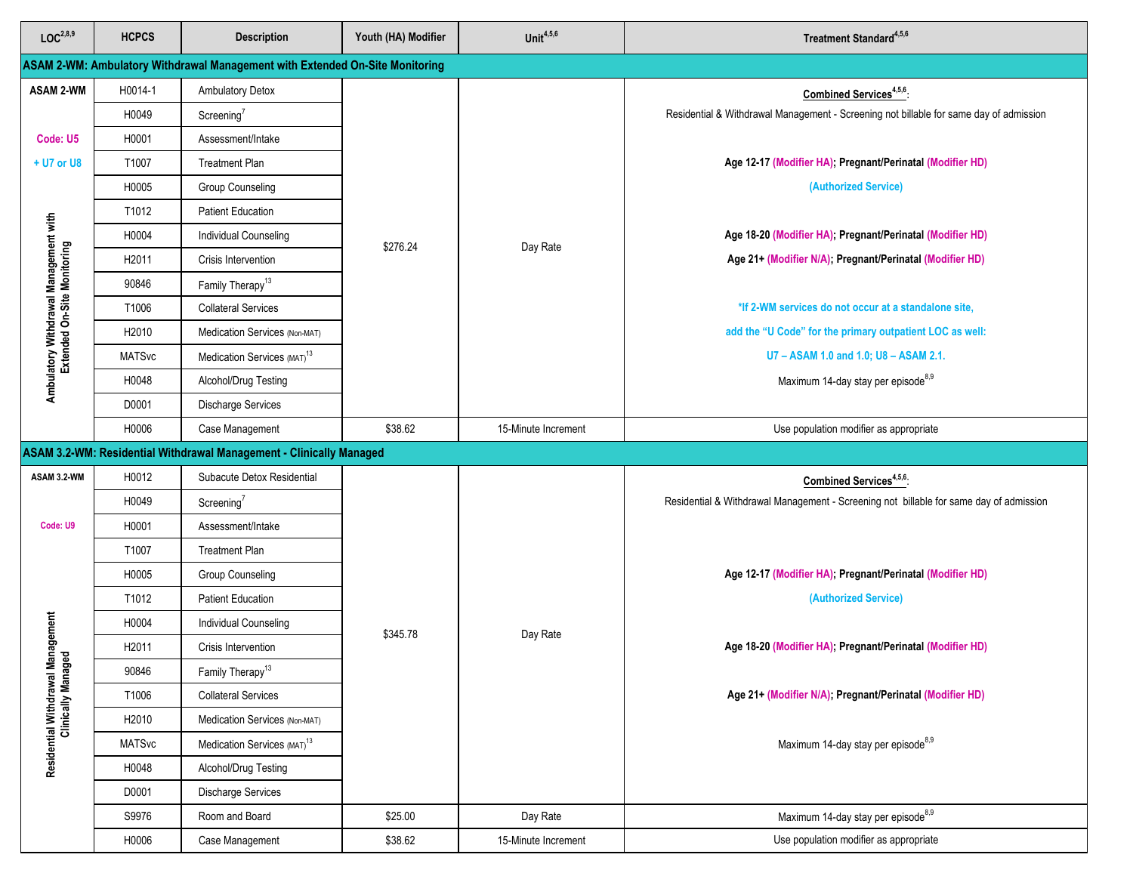| LOC <sup>2,8,9</sup>                                                 | <b>HCPCS</b>  | <b>Description</b>                                                           | Youth (HA) Modifier | Unit $4,5,6$                                   | Treatment Standard <sup>4,5,6</sup>                                                    |
|----------------------------------------------------------------------|---------------|------------------------------------------------------------------------------|---------------------|------------------------------------------------|----------------------------------------------------------------------------------------|
|                                                                      |               | ASAM 2-WM: Ambulatory Withdrawal Management with Extended On-Site Monitoring |                     |                                                |                                                                                        |
| <b>ASAM 2-WM</b>                                                     | H0014-1       | Ambulatory Detox                                                             |                     |                                                | Combined Services <sup>4,5,6</sup> :                                                   |
|                                                                      | H0049         | Screening <sup>7</sup>                                                       |                     |                                                | Residential & Withdrawal Management - Screening not billable for same day of admission |
| Code: U5                                                             | H0001         | Assessment/Intake                                                            |                     |                                                |                                                                                        |
| + U7 or U8                                                           | T1007         | <b>Treatment Plan</b>                                                        |                     |                                                | Age 12-17 (Modifier HA), Pregnant/Perinatal (Modifier HD)                              |
|                                                                      | H0005         | <b>Group Counseling</b>                                                      |                     |                                                | (Authorized Service)                                                                   |
|                                                                      | T1012         | <b>Patient Education</b>                                                     |                     |                                                |                                                                                        |
|                                                                      | H0004         | <b>Individual Counseling</b>                                                 | \$276.24            | Day Rate                                       | Age 18-20 (Modifier HA), Pregnant/Perinatal (Modifier HD)                              |
|                                                                      | H2011         | Crisis Intervention                                                          |                     |                                                | Age 21+ (Modifier N/A); Pregnant/Perinatal (Modifier HD)                               |
|                                                                      | 90846         | Family Therapy <sup>13</sup>                                                 |                     |                                                |                                                                                        |
|                                                                      | T1006         | <b>Collateral Services</b>                                                   |                     |                                                | *If 2-WM services do not occur at a standalone site,                                   |
|                                                                      | H2010         | Medication Services (Non-MAT)                                                |                     |                                                | add the "U Code" for the primary outpatient LOC as well:                               |
|                                                                      | <b>MATSvc</b> | Medication Services (MAT) <sup>13</sup>                                      |                     |                                                | U7 - ASAM 1.0 and 1.0; U8 - ASAM 2.1.                                                  |
| Ambulatory Withdrawal Management with<br>Extended On-Site Monitoring | H0048         | Alcohol/Drug Testing                                                         |                     |                                                | Maximum 14-day stay per episode <sup>8,9</sup>                                         |
|                                                                      | D0001         | <b>Discharge Services</b>                                                    |                     |                                                |                                                                                        |
|                                                                      | H0006         | Case Management                                                              | \$38.62             | 15-Minute Increment                            | Use population modifier as appropriate                                                 |
|                                                                      |               | ASAM 3.2-WM: Residential Withdrawal Management - Clinically Managed          |                     |                                                |                                                                                        |
| ASAM 3.2-WM                                                          | H0012         | Subacute Detox Residential                                                   |                     |                                                | Combined Services <sup>4,5,6</sup> :                                                   |
|                                                                      | H0049         | Screening <sup>7</sup>                                                       |                     |                                                | Residential & Withdrawal Management - Screening not billable for same day of admission |
| Code: U9                                                             | H0001         | Assessment/Intake                                                            |                     |                                                |                                                                                        |
|                                                                      | T1007         | <b>Treatment Plan</b>                                                        |                     |                                                |                                                                                        |
|                                                                      | H0005         | Group Counseling                                                             |                     |                                                | Age 12-17 (Modifier HA), Pregnant/Perinatal (Modifier HD)                              |
|                                                                      | T1012         | <b>Patient Education</b>                                                     |                     |                                                | (Authorized Service)                                                                   |
| anagement                                                            | H0004         | <b>Individual Counseling</b>                                                 | \$345.78            | Day Rate                                       |                                                                                        |
| ᄝ                                                                    | H2011         | Crisis Intervention                                                          |                     |                                                | Age 18-20 (Modifier HA); Pregnant/Perinatal (Modifier HD)                              |
|                                                                      | 90846         | Family Therapy <sup>13</sup>                                                 |                     |                                                |                                                                                        |
|                                                                      | T1006         | <b>Collateral Services</b>                                                   |                     |                                                | Age 21+ (Modifier N/A); Pregnant/Perinatal (Modifier HD)                               |
| Residential Withdrawal M<br>Clinically Manag                         | H2010         | Medication Services (Non-MAT)                                                |                     |                                                |                                                                                        |
|                                                                      | <b>MATSvc</b> | Medication Services (MAT) <sup>13</sup>                                      |                     | Maximum 14-day stay per episode <sup>8,9</sup> |                                                                                        |
|                                                                      | H0048         | Alcohol/Drug Testing                                                         |                     |                                                |                                                                                        |
|                                                                      | D0001         | <b>Discharge Services</b>                                                    |                     |                                                |                                                                                        |
|                                                                      | S9976         | Room and Board                                                               | \$25.00             | Day Rate                                       | Maximum 14-day stay per episode <sup>8,9</sup>                                         |
|                                                                      | H0006         | Case Management                                                              | \$38.62             | 15-Minute Increment                            | Use population modifier as appropriate                                                 |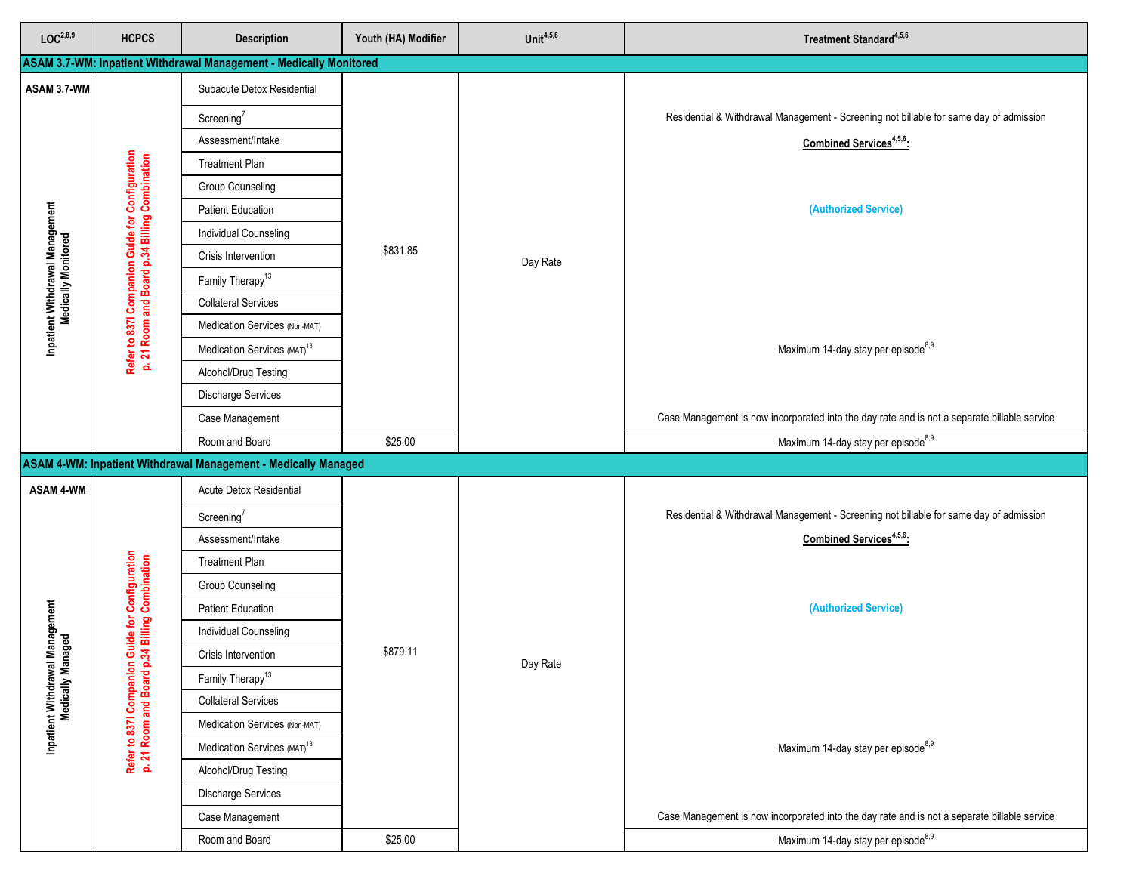| LOC <sup>2,8,9</sup>                                   | <b>HCPCS</b>                                                                                     | <b>Description</b>                                                 | Youth (HA) Modifier | Unit $4,5,6$ | Treatment Standard <sup>4,5,6</sup>                                                          |
|--------------------------------------------------------|--------------------------------------------------------------------------------------------------|--------------------------------------------------------------------|---------------------|--------------|----------------------------------------------------------------------------------------------|
|                                                        |                                                                                                  | ASAM 3.7-WM: Inpatient Withdrawal Management - Medically Monitored |                     |              |                                                                                              |
| ASAM 3.7-WM                                            |                                                                                                  | Subacute Detox Residential                                         |                     |              |                                                                                              |
|                                                        |                                                                                                  | Screening $7$                                                      |                     |              | Residential & Withdrawal Management - Screening not billable for same day of admission       |
|                                                        |                                                                                                  | Assessment/Intake                                                  |                     |              | Combined Services <sup>4,5,6</sup> :                                                         |
|                                                        |                                                                                                  | <b>Treatment Plan</b>                                              |                     |              |                                                                                              |
|                                                        |                                                                                                  | <b>Group Counseling</b>                                            |                     |              |                                                                                              |
|                                                        |                                                                                                  | <b>Patient Education</b>                                           |                     |              | (Authorized Service)                                                                         |
| Inpatient Withdrawal Management<br>Medically Monitored | Refer to 837l Companion Guide for Configuration<br>p. 21 Room and Board p.34 Billing Combination | <b>Individual Counseling</b>                                       |                     |              |                                                                                              |
|                                                        |                                                                                                  | Crisis Intervention                                                | \$831.85            | Day Rate     |                                                                                              |
|                                                        |                                                                                                  | Family Therapy <sup>13</sup>                                       |                     |              |                                                                                              |
|                                                        |                                                                                                  | <b>Collateral Services</b>                                         |                     |              |                                                                                              |
|                                                        |                                                                                                  | Medication Services (Non-MAT)                                      |                     |              |                                                                                              |
|                                                        |                                                                                                  | Medication Services (MAT) <sup>13</sup>                            |                     |              | Maximum 14-day stay per episode <sup>8,9</sup>                                               |
|                                                        |                                                                                                  | Alcohol/Drug Testing                                               |                     |              |                                                                                              |
|                                                        |                                                                                                  | <b>Discharge Services</b>                                          |                     |              |                                                                                              |
|                                                        |                                                                                                  | Case Management                                                    |                     |              | Case Management is now incorporated into the day rate and is not a separate billable service |
|                                                        | Room and Board                                                                                   |                                                                    | \$25.00             |              | Maximum 14-day stay per episode <sup>8,9</sup>                                               |
|                                                        |                                                                                                  | ASAM 4-WM: Inpatient Withdrawal Management - Medically Managed     |                     |              |                                                                                              |
| <b>ASAM 4-WM</b>                                       |                                                                                                  | Acute Detox Residential                                            |                     |              |                                                                                              |
|                                                        |                                                                                                  | Screening $7$                                                      |                     |              | Residential & Withdrawal Management - Screening not billable for same day of admission       |
|                                                        |                                                                                                  | Assessment/Intake                                                  |                     |              | Combined Services <sup>4,5,6</sup> :                                                         |
|                                                        |                                                                                                  | <b>Treatment Plan</b>                                              |                     |              |                                                                                              |
|                                                        |                                                                                                  | Group Counseling                                                   |                     |              |                                                                                              |
|                                                        |                                                                                                  | <b>Patient Education</b>                                           |                     |              | (Authorized Service)                                                                         |
| al Management<br>anaged                                | <b>Guide for Configuration</b><br>34 Billing Combination                                         | <b>Individual Counseling</b>                                       |                     |              |                                                                                              |
|                                                        |                                                                                                  | Crisis Intervention                                                | \$879.11            | Day Rate     |                                                                                              |
|                                                        |                                                                                                  | Family Therapy <sup>13</sup>                                       |                     |              |                                                                                              |
| Inpatient Withdrawal N<br>Medically Man                | Refer to 837l Companion<br>p. 21 Room and Board p.                                               | <b>Collateral Services</b>                                         |                     |              |                                                                                              |
|                                                        |                                                                                                  | Medication Services (Non-MAT)                                      |                     |              |                                                                                              |
|                                                        |                                                                                                  | Medication Services (MAT) <sup>13</sup>                            |                     |              | Maximum 14-day stay per episode <sup>8,9</sup>                                               |
|                                                        |                                                                                                  | Alcohol/Drug Testing                                               |                     |              |                                                                                              |
|                                                        |                                                                                                  | Discharge Services                                                 |                     |              |                                                                                              |
|                                                        |                                                                                                  | Case Management                                                    |                     |              | Case Management is now incorporated into the day rate and is not a separate billable service |
|                                                        |                                                                                                  | Room and Board                                                     | \$25.00             |              | Maximum 14-day stay per episode <sup>8,9</sup>                                               |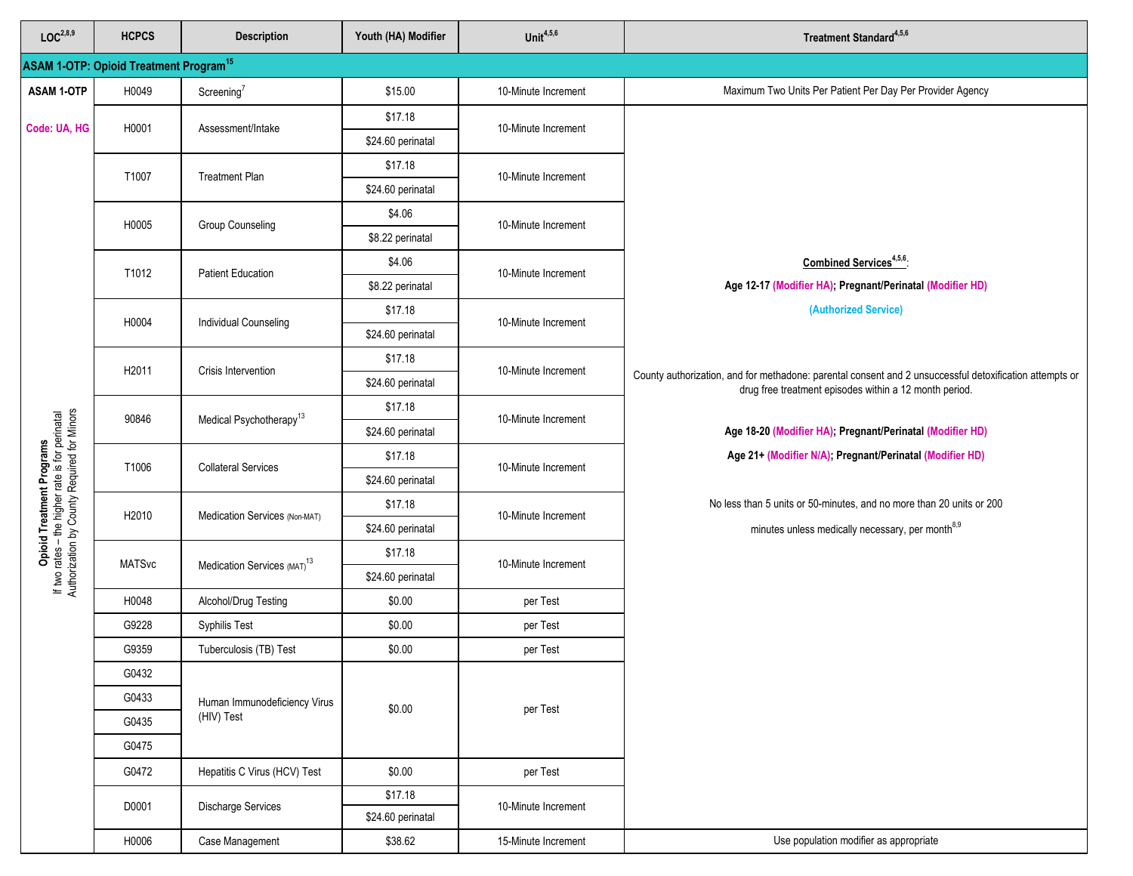| LOC <sup>2,8,9</sup>                                                                                                        | <b>HCPCS</b>                                             | <b>Description</b>                         | Youth (HA) Modifier | Unit $4,5,6$        | Treatment Standard <sup>4,5,6</sup>                                                                                                                               |
|-----------------------------------------------------------------------------------------------------------------------------|----------------------------------------------------------|--------------------------------------------|---------------------|---------------------|-------------------------------------------------------------------------------------------------------------------------------------------------------------------|
|                                                                                                                             | <b>ASAM 1-OTP: Opioid Treatment Program<sup>15</sup></b> |                                            |                     |                     |                                                                                                                                                                   |
| <b>ASAM 1-OTP</b>                                                                                                           | H0049                                                    | Screening <sup>7</sup>                     | \$15.00             | 10-Minute Increment | Maximum Two Units Per Patient Per Day Per Provider Agency                                                                                                         |
|                                                                                                                             |                                                          |                                            | \$17.18             |                     |                                                                                                                                                                   |
| Code: UA, HG                                                                                                                | H0001                                                    | Assessment/Intake                          | \$24.60 perinatal   | 10-Minute Increment |                                                                                                                                                                   |
|                                                                                                                             |                                                          |                                            | \$17.18             |                     |                                                                                                                                                                   |
|                                                                                                                             | T1007                                                    | <b>Treatment Plan</b>                      | \$24.60 perinatal   | 10-Minute Increment |                                                                                                                                                                   |
|                                                                                                                             | H0005                                                    | <b>Group Counseling</b>                    | \$4.06              | 10-Minute Increment |                                                                                                                                                                   |
|                                                                                                                             |                                                          |                                            | \$8.22 perinatal    |                     |                                                                                                                                                                   |
|                                                                                                                             | T1012                                                    | <b>Patient Education</b>                   | \$4.06              | 10-Minute Increment | Combined Services <sup>4,5,6</sup> :                                                                                                                              |
|                                                                                                                             |                                                          |                                            | \$8.22 perinatal    |                     | Age 12-17 (Modifier HA), Pregnant/Perinatal (Modifier HD)                                                                                                         |
|                                                                                                                             | H0004                                                    | <b>Individual Counseling</b>               | \$17.18             | 10-Minute Increment | (Authorized Service)                                                                                                                                              |
|                                                                                                                             |                                                          |                                            | \$24.60 perinatal   |                     |                                                                                                                                                                   |
|                                                                                                                             | H2011                                                    | Crisis Intervention                        | \$17.18             | 10-Minute Increment |                                                                                                                                                                   |
|                                                                                                                             |                                                          |                                            | \$24.60 perinatal   |                     | County authorization, and for methadone: parental consent and 2 unsuccessful detoxification attempts or<br>drug free treatment episodes within a 12 month period. |
|                                                                                                                             | 90846                                                    | Medical Psychotherapy <sup>13</sup>        | \$17.18             | 10-Minute Increment |                                                                                                                                                                   |
| Opioid Treatment Programs<br>If two rates – the higher rate is for perinatal<br>Authorization by County Required for Minors |                                                          |                                            | \$24.60 perinatal   |                     | Age 18-20 (Modifier HA); Pregnant/Perinatal (Modifier HD)                                                                                                         |
|                                                                                                                             | T1006                                                    | <b>Collateral Services</b>                 | \$17.18             | 10-Minute Increment | Age 21+ (Modifier N/A); Pregnant/Perinatal (Modifier HD)                                                                                                          |
|                                                                                                                             |                                                          |                                            | \$24.60 perinatal   |                     |                                                                                                                                                                   |
|                                                                                                                             | H2010                                                    | Medication Services (Non-MAT)              | \$17.18             | 10-Minute Increment | No less than 5 units or 50-minutes, and no more than 20 units or 200                                                                                              |
|                                                                                                                             |                                                          |                                            | \$24.60 perinatal   |                     | minutes unless medically necessary, per month <sup>8,9</sup>                                                                                                      |
|                                                                                                                             | <b>MATSvc</b>                                            | Medication Services (MAT) <sup>13</sup>    | \$17.18             | 10-Minute Increment |                                                                                                                                                                   |
|                                                                                                                             |                                                          |                                            | \$24.60 perinatal   |                     |                                                                                                                                                                   |
|                                                                                                                             | H0048                                                    | Alcohol/Drug Testing                       | \$0.00              | per Test            |                                                                                                                                                                   |
|                                                                                                                             | G9228                                                    | <b>Syphilis Test</b>                       | \$0.00              | per Test            |                                                                                                                                                                   |
|                                                                                                                             | G9359                                                    | Tuberculosis (TB) Test                     | \$0.00              | per Test            |                                                                                                                                                                   |
|                                                                                                                             | G0432                                                    |                                            |                     |                     |                                                                                                                                                                   |
|                                                                                                                             | G0433                                                    | Human Immunodeficiency Virus<br>(HIV) Test | \$0.00              | per Test            |                                                                                                                                                                   |
|                                                                                                                             | G0435                                                    |                                            |                     |                     |                                                                                                                                                                   |
|                                                                                                                             | G0475                                                    |                                            |                     |                     |                                                                                                                                                                   |
|                                                                                                                             | G0472                                                    | Hepatitis C Virus (HCV) Test               | \$0.00              | per Test            |                                                                                                                                                                   |
|                                                                                                                             | D0001                                                    | Discharge Services                         | \$17.18             | 10-Minute Increment |                                                                                                                                                                   |
|                                                                                                                             |                                                          |                                            | \$24.60 perinatal   |                     |                                                                                                                                                                   |
|                                                                                                                             | H0006                                                    | Case Management                            | \$38.62             | 15-Minute Increment | Use population modifier as appropriate                                                                                                                            |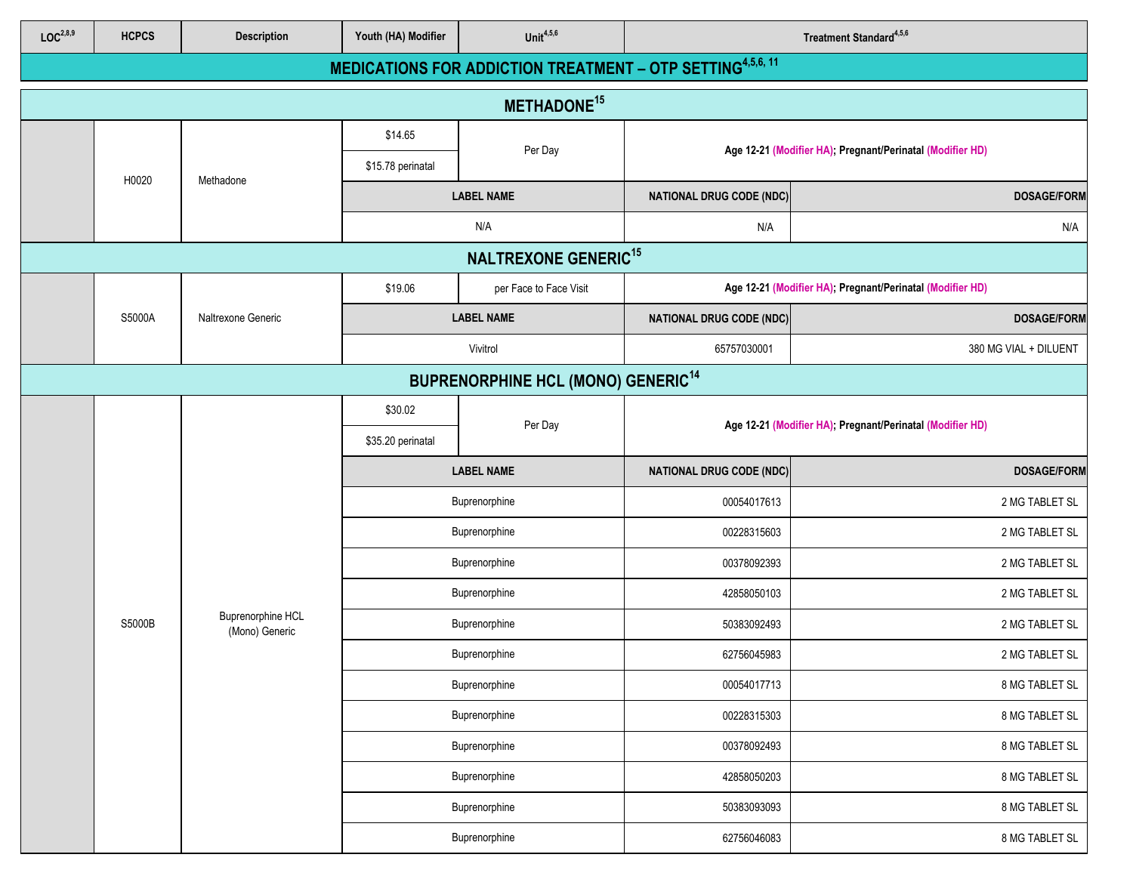| LOC <sup>2,8,9</sup>                                 | <b>HCPCS</b>            | <b>Description</b>                         | Youth (HA) Modifier | Unit $4,5,6$                                                      |                                 | Treatment Standard <sup>4,5,6</sup>                       |  |  |
|------------------------------------------------------|-------------------------|--------------------------------------------|---------------------|-------------------------------------------------------------------|---------------------------------|-----------------------------------------------------------|--|--|
|                                                      |                         |                                            |                     | <b>MEDICATIONS FOR ADDICTION TREATMENT - OTP SETTING4,5,6, 11</b> |                                 |                                                           |  |  |
|                                                      | METHADONE <sup>15</sup> |                                            |                     |                                                                   |                                 |                                                           |  |  |
|                                                      |                         |                                            | \$14.65             | Per Day                                                           |                                 | Age 12-21 (Modifier HA); Pregnant/Perinatal (Modifier HD) |  |  |
|                                                      | H0020                   | Methadone                                  | \$15.78 perinatal   |                                                                   |                                 |                                                           |  |  |
|                                                      |                         |                                            |                     | <b>LABEL NAME</b>                                                 | <b>NATIONAL DRUG CODE (NDC)</b> | <b>DOSAGE/FORM</b>                                        |  |  |
|                                                      |                         |                                            |                     | N/A                                                               | N/A                             | N/A                                                       |  |  |
|                                                      |                         |                                            |                     | <b>NALTREXONE GENERIC<sup>15</sup></b>                            |                                 |                                                           |  |  |
|                                                      |                         |                                            | \$19.06             | per Face to Face Visit                                            |                                 | Age 12-21 (Modifier HA); Pregnant/Perinatal (Modifier HD) |  |  |
|                                                      | S5000A                  | Naltrexone Generic                         |                     | <b>LABEL NAME</b>                                                 | <b>NATIONAL DRUG CODE (NDC)</b> | <b>DOSAGE/FORM</b>                                        |  |  |
|                                                      |                         |                                            |                     | Vivitrol                                                          | 65757030001                     | 380 MG VIAL + DILUENT                                     |  |  |
| <b>BUPRENORPHINE HCL (MONO) GENERIC<sup>14</sup></b> |                         |                                            |                     |                                                                   |                                 |                                                           |  |  |
|                                                      |                         |                                            | \$30.02             | Per Day                                                           |                                 | Age 12-21 (Modifier HA); Pregnant/Perinatal (Modifier HD) |  |  |
|                                                      |                         |                                            | \$35.20 perinatal   |                                                                   |                                 |                                                           |  |  |
|                                                      |                         |                                            | <b>LABEL NAME</b>   |                                                                   | <b>NATIONAL DRUG CODE (NDC)</b> | <b>DOSAGE/FORM</b>                                        |  |  |
|                                                      |                         |                                            |                     | Buprenorphine                                                     | 00054017613                     | 2 MG TABLET SL                                            |  |  |
|                                                      |                         |                                            | Buprenorphine       |                                                                   | 00228315603                     | 2 MG TABLET SL                                            |  |  |
|                                                      |                         |                                            | Buprenorphine       |                                                                   | 00378092393                     | 2 MG TABLET SL                                            |  |  |
|                                                      |                         |                                            | Buprenorphine       |                                                                   | 42858050103                     | 2 MG TABLET SL                                            |  |  |
|                                                      | S5000B                  | <b>Buprenorphine HCL</b><br>(Mono) Generic |                     | Buprenorphine                                                     | 50383092493                     | 2 MG TABLET SL                                            |  |  |
|                                                      |                         |                                            |                     | Buprenorphine                                                     | 62756045983                     | 2 MG TABLET SL                                            |  |  |
|                                                      |                         |                                            |                     | Buprenorphine                                                     | 00054017713                     | 8 MG TABLET SL                                            |  |  |
|                                                      |                         |                                            |                     | Buprenorphine                                                     | 00228315303                     | 8 MG TABLET SL                                            |  |  |
|                                                      |                         |                                            |                     | Buprenorphine                                                     | 00378092493                     | 8 MG TABLET SL                                            |  |  |
|                                                      |                         |                                            |                     | Buprenorphine                                                     | 42858050203                     | 8 MG TABLET SL                                            |  |  |
|                                                      |                         |                                            |                     | Buprenorphine                                                     | 50383093093                     | 8 MG TABLET SL                                            |  |  |
|                                                      |                         |                                            |                     | Buprenorphine                                                     | 62756046083                     | 8 MG TABLET SL                                            |  |  |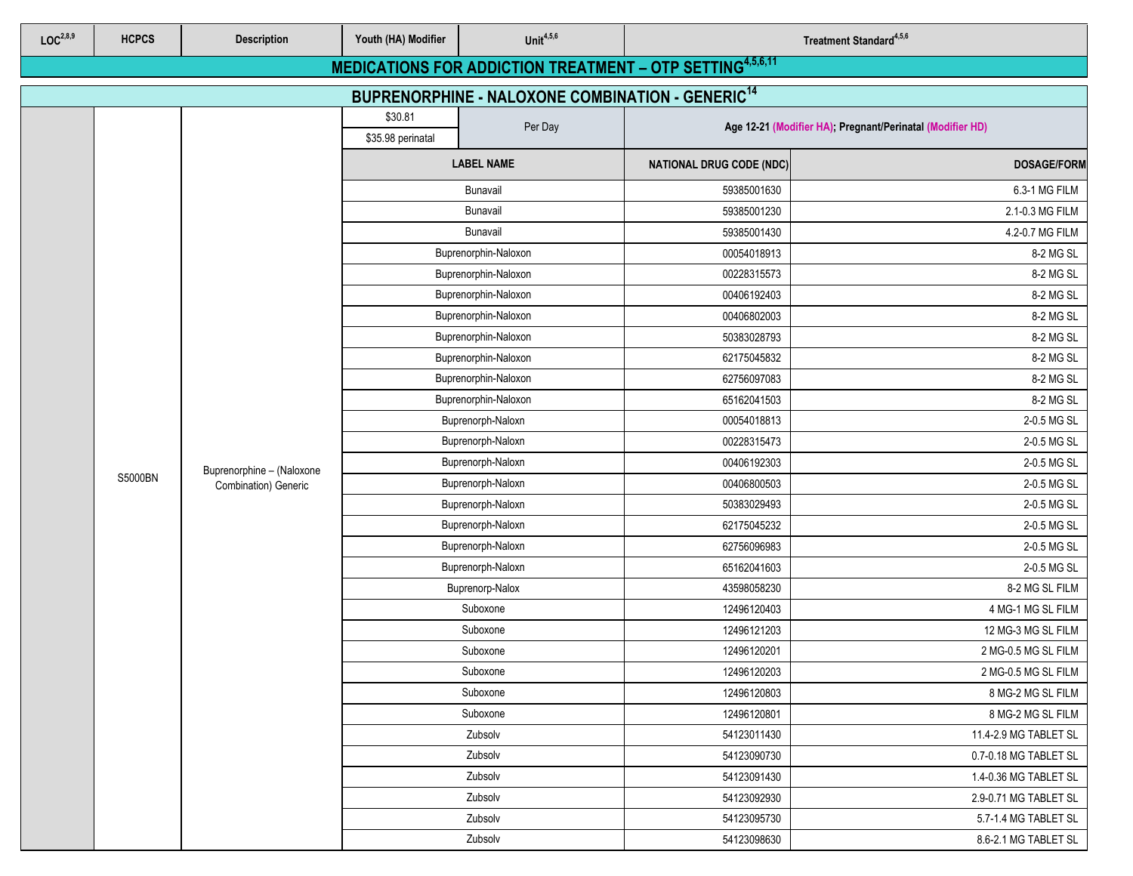| LOC <sup>2,8,9</sup> | <b>HCPCS</b>                                                                                                                           | <b>Description</b>        | Youth (HA) Modifier          | Unit $4,5,6$         | Treatment Standard <sup>4,5,6</sup> |                                                           |             |  |  |  |
|----------------------|----------------------------------------------------------------------------------------------------------------------------------------|---------------------------|------------------------------|----------------------|-------------------------------------|-----------------------------------------------------------|-------------|--|--|--|
|                      |                                                                                                                                        |                           |                              |                      |                                     |                                                           |             |  |  |  |
|                      | <b>MEDICATIONS FOR ADDICTION TREATMENT - OTP SETTING4,5,6,11</b><br><b>BUPRENORPHINE - NALOXONE COMBINATION - GENERIC<sup>14</sup></b> |                           |                              |                      |                                     |                                                           |             |  |  |  |
|                      |                                                                                                                                        |                           | \$30.81<br>\$35.98 perinatal | Per Day              |                                     | Age 12-21 (Modifier HA), Pregnant/Perinatal (Modifier HD) |             |  |  |  |
|                      |                                                                                                                                        |                           |                              | <b>LABEL NAME</b>    | <b>NATIONAL DRUG CODE (NDC)</b>     | <b>DOSAGE/FORM</b>                                        |             |  |  |  |
|                      |                                                                                                                                        |                           |                              | Bunavail             | 59385001630                         | 6.3-1 MG FILM                                             |             |  |  |  |
|                      |                                                                                                                                        |                           |                              | Bunavail             | 59385001230                         | 2.1-0.3 MG FILM                                           |             |  |  |  |
|                      |                                                                                                                                        |                           |                              | Bunavail             | 59385001430                         | 4.2-0.7 MG FILM                                           |             |  |  |  |
|                      |                                                                                                                                        |                           |                              | Buprenorphin-Naloxon | 00054018913                         | 8-2 MG SL                                                 |             |  |  |  |
|                      |                                                                                                                                        |                           |                              | Buprenorphin-Naloxon | 00228315573                         | 8-2 MG SL                                                 |             |  |  |  |
|                      |                                                                                                                                        |                           |                              | Buprenorphin-Naloxon | 00406192403                         | 8-2 MG SL                                                 |             |  |  |  |
|                      |                                                                                                                                        |                           |                              | Buprenorphin-Naloxon | 00406802003                         | 8-2 MG SL                                                 |             |  |  |  |
|                      |                                                                                                                                        |                           |                              | Buprenorphin-Naloxon | 50383028793                         | 8-2 MG SL                                                 |             |  |  |  |
|                      |                                                                                                                                        |                           |                              | Buprenorphin-Naloxon | 62175045832                         | 8-2 MG SL                                                 |             |  |  |  |
|                      |                                                                                                                                        |                           |                              | Buprenorphin-Naloxon | 62756097083                         | 8-2 MG SL                                                 |             |  |  |  |
|                      |                                                                                                                                        |                           |                              | Buprenorphin-Naloxon |                                     | 8-2 MG SL                                                 |             |  |  |  |
|                      |                                                                                                                                        |                           | Buprenorph-Naloxn            |                      | 00054018813                         | 2-0.5 MG SL                                               |             |  |  |  |
|                      |                                                                                                                                        |                           |                              |                      | Buprenorph-Naloxn                   | 00228315473                                               | 2-0.5 MG SL |  |  |  |
|                      |                                                                                                                                        | Buprenorphine - (Naloxone |                              | Buprenorph-Naloxn    | 00406192303                         | 2-0.5 MG SL                                               |             |  |  |  |
|                      | S5000BN                                                                                                                                | Combination) Generic      |                              | Buprenorph-Naloxn    | 00406800503                         | 2-0.5 MG SL                                               |             |  |  |  |
|                      |                                                                                                                                        |                           |                              | Buprenorph-Naloxn    | 50383029493                         | 2-0.5 MG SL                                               |             |  |  |  |
|                      |                                                                                                                                        |                           |                              | Buprenorph-Naloxn    | 62175045232                         | 2-0.5 MG SL                                               |             |  |  |  |
|                      |                                                                                                                                        |                           |                              | Buprenorph-Naloxn    | 62756096983                         | 2-0.5 MG SL                                               |             |  |  |  |
|                      |                                                                                                                                        |                           |                              | Buprenorph-Naloxn    | 65162041603                         | 2-0.5 MG SL                                               |             |  |  |  |
|                      |                                                                                                                                        |                           |                              | Buprenorp-Nalox      | 43598058230                         | 8-2 MG SL FILM                                            |             |  |  |  |
|                      |                                                                                                                                        |                           |                              | Suboxone             | 12496120403                         | 4 MG-1 MG SL FILM                                         |             |  |  |  |
|                      |                                                                                                                                        |                           |                              | Suboxone             | 12496121203                         | 12 MG-3 MG SL FILM                                        |             |  |  |  |
|                      |                                                                                                                                        |                           |                              | Suboxone             | 12496120201                         | 2 MG-0.5 MG SL FILM                                       |             |  |  |  |
|                      |                                                                                                                                        |                           |                              | Suboxone             | 12496120203                         | 2 MG-0.5 MG SL FILM                                       |             |  |  |  |
|                      |                                                                                                                                        |                           |                              | Suboxone             | 12496120803                         | 8 MG-2 MG SL FILM                                         |             |  |  |  |
|                      |                                                                                                                                        |                           |                              | Suboxone             | 12496120801                         | 8 MG-2 MG SL FILM                                         |             |  |  |  |
|                      |                                                                                                                                        |                           |                              | Zubsolv              | 54123011430                         | 11.4-2.9 MG TABLET SL                                     |             |  |  |  |
|                      |                                                                                                                                        |                           |                              | Zubsolv              | 54123090730                         | 0.7-0.18 MG TABLET SL                                     |             |  |  |  |
|                      |                                                                                                                                        |                           |                              | Zubsolv              | 54123091430                         | 1.4-0.36 MG TABLET SL                                     |             |  |  |  |
|                      |                                                                                                                                        |                           |                              | Zubsolv              | 54123092930                         | 2.9-0.71 MG TABLET SL                                     |             |  |  |  |
|                      |                                                                                                                                        |                           |                              | Zubsolv              | 54123095730                         | 5.7-1.4 MG TABLET SL                                      |             |  |  |  |
|                      |                                                                                                                                        |                           |                              | Zubsolv              | 54123098630                         | 8.6-2.1 MG TABLET SL                                      |             |  |  |  |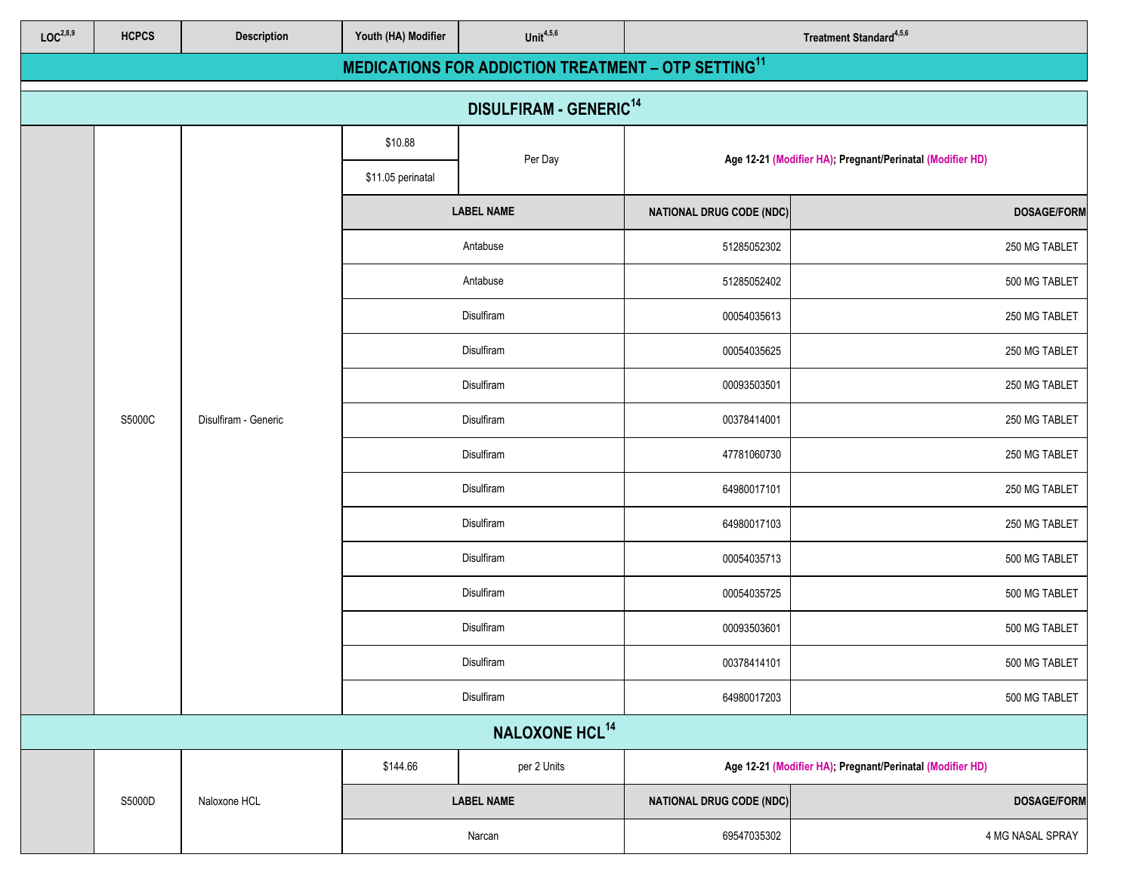| LOC <sup>2,8,9</sup>                     | <b>HCPCS</b> | <b>Description</b>   | Youth (HA) Modifier | Unit $4,5,6$                                                    |                                 | Treatment Standard <sup>4,5,6</sup>                       |               |
|------------------------------------------|--------------|----------------------|---------------------|-----------------------------------------------------------------|---------------------------------|-----------------------------------------------------------|---------------|
|                                          |              |                      |                     | MEDICATIONS FOR ADDICTION TREATMENT - OTP SETTING <sup>11</sup> |                                 |                                                           |               |
| <b>DISULFIRAM - GENERIC<sup>14</sup></b> |              |                      |                     |                                                                 |                                 |                                                           |               |
|                                          |              |                      | \$10.88             |                                                                 |                                 |                                                           |               |
|                                          |              |                      | \$11.05 perinatal   | Per Day                                                         |                                 | Age 12-21 (Modifier HA); Pregnant/Perinatal (Modifier HD) |               |
|                                          |              |                      |                     | <b>LABEL NAME</b>                                               | <b>NATIONAL DRUG CODE (NDC)</b> | <b>DOSAGE/FORM</b>                                        |               |
|                                          |              |                      |                     | Antabuse                                                        | 51285052302                     | 250 MG TABLET                                             |               |
|                                          |              |                      |                     | Antabuse                                                        | 51285052402                     | 500 MG TABLET                                             |               |
|                                          |              |                      |                     | Disulfiram                                                      | 00054035613                     | 250 MG TABLET                                             |               |
|                                          |              |                      |                     | Disulfiram                                                      | 00054035625                     | 250 MG TABLET                                             |               |
|                                          |              |                      | Disulfiram          |                                                                 | 00093503501                     | 250 MG TABLET                                             |               |
|                                          | S5000C       | Disulfiram - Generic |                     | Disulfiram                                                      | 00378414001                     | 250 MG TABLET                                             |               |
|                                          |              |                      |                     | Disulfiram                                                      | 47781060730                     | 250 MG TABLET                                             |               |
|                                          |              |                      |                     | Disulfiram                                                      | 64980017101                     | 250 MG TABLET                                             |               |
|                                          |              |                      |                     | Disulfiram                                                      | 64980017103                     | 250 MG TABLET                                             |               |
|                                          |              |                      |                     |                                                                 | Disulfiram                      | 00054035713                                               | 500 MG TABLET |
|                                          |              |                      |                     | Disulfiram                                                      | 00054035725                     | 500 MG TABLET                                             |               |
|                                          |              |                      |                     | Disulfiram                                                      | 00093503601                     | 500 MG TABLET                                             |               |
|                                          |              |                      |                     | Disulfiram                                                      | 00378414101                     | 500 MG TABLET                                             |               |
|                                          |              |                      | Disulfiram          |                                                                 | 64980017203                     | 500 MG TABLET                                             |               |
|                                          |              |                      |                     | NALOXONE HCL <sup>14</sup>                                      |                                 |                                                           |               |
|                                          |              |                      | \$144.66            | per 2 Units                                                     |                                 | Age 12-21 (Modifier HA); Pregnant/Perinatal (Modifier HD) |               |
|                                          | S5000D       | Naloxone HCL         |                     | <b>LABEL NAME</b>                                               | <b>NATIONAL DRUG CODE (NDC)</b> | <b>DOSAGE/FORM</b>                                        |               |
|                                          |              |                      |                     | Narcan                                                          | 69547035302                     | 4 MG NASAL SPRAY                                          |               |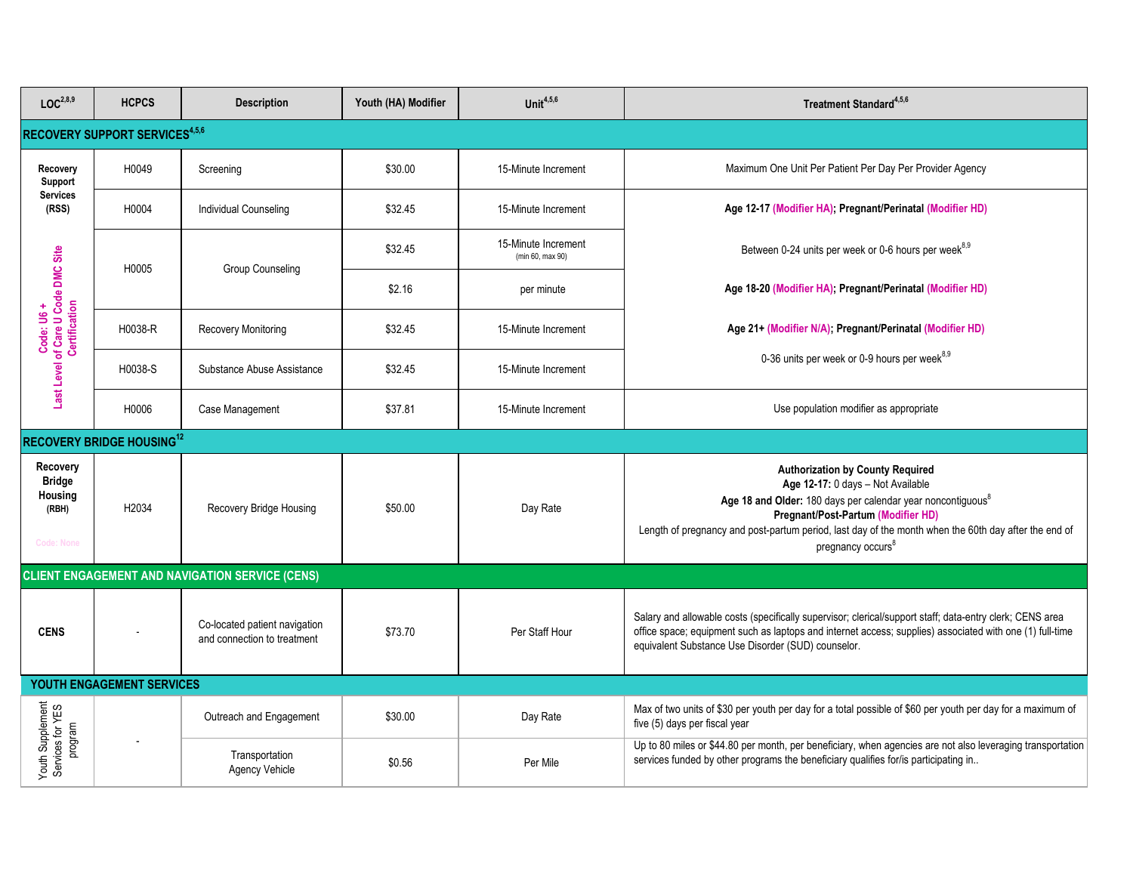| LOC <sup>2,8,9</sup>                                               | <b>HCPCS</b>                               | <b>Description</b>                                           | Youth (HA) Modifier | Unit $4,5,6$                            | Treatment Standard <sup>4,5,6</sup>                                                                                                                                                                                                                                                                                                    |
|--------------------------------------------------------------------|--------------------------------------------|--------------------------------------------------------------|---------------------|-----------------------------------------|----------------------------------------------------------------------------------------------------------------------------------------------------------------------------------------------------------------------------------------------------------------------------------------------------------------------------------------|
|                                                                    | RECOVERY SUPPORT SERVICES <sup>4,5,6</sup> |                                                              |                     |                                         |                                                                                                                                                                                                                                                                                                                                        |
| Recovery<br>Support                                                | H0049                                      | Screening                                                    | \$30.00             | 15-Minute Increment                     | Maximum One Unit Per Patient Per Day Per Provider Agency                                                                                                                                                                                                                                                                               |
| <b>Services</b><br>(RSS)                                           | H0004                                      | <b>Individual Counseling</b>                                 | \$32.45             | 15-Minute Increment                     | Age 12-17 (Modifier HA); Pregnant/Perinatal (Modifier HD)                                                                                                                                                                                                                                                                              |
|                                                                    | H0005                                      | <b>Group Counseling</b>                                      | \$32.45             | 15-Minute Increment<br>(min 60, max 90) | Between 0-24 units per week or 0-6 hours per week <sup>8,9</sup>                                                                                                                                                                                                                                                                       |
| Code: U6 +<br>Last Level of Care U Code DMC Site<br>Certification  |                                            |                                                              | \$2.16              | per minute                              | Age 18-20 (Modifier HA); Pregnant/Perinatal (Modifier HD)                                                                                                                                                                                                                                                                              |
|                                                                    | H0038-R                                    | Recovery Monitoring                                          | \$32.45             | 15-Minute Increment                     | Age 21+ (Modifier N/A); Pregnant/Perinatal (Modifier HD)                                                                                                                                                                                                                                                                               |
|                                                                    | H0038-S                                    | Substance Abuse Assistance                                   | \$32.45             | 15-Minute Increment                     | 0-36 units per week or 0-9 hours per week <sup>8,9</sup>                                                                                                                                                                                                                                                                               |
|                                                                    | H0006                                      | Case Management                                              | \$37.81             | 15-Minute Increment                     | Use population modifier as appropriate                                                                                                                                                                                                                                                                                                 |
|                                                                    | <b>RECOVERY BRIDGE HOUSING12</b>           |                                                              |                     |                                         |                                                                                                                                                                                                                                                                                                                                        |
| Recovery<br><b>Bridge</b><br>Housing<br>(RBH)<br><b>Code: None</b> | H2034                                      | Recovery Bridge Housing                                      | \$50.00             | Day Rate                                | <b>Authorization by County Required</b><br>Age 12-17: 0 days - Not Available<br>Age 18 and Older: 180 days per calendar year noncontiguous <sup>8</sup><br>Pregnant/Post-Partum (Modifier HD)<br>Length of pregnancy and post-partum period, last day of the month when the 60th day after the end of<br>pregnancy occurs <sup>8</sup> |
|                                                                    |                                            | <b>CLIENT ENGAGEMENT AND NAVIGATION SERVICE (CENS)</b>       |                     |                                         |                                                                                                                                                                                                                                                                                                                                        |
| <b>CENS</b>                                                        |                                            | Co-located patient navigation<br>and connection to treatment | \$73.70             | Per Staff Hour                          | Salary and allowable costs (specifically supervisor; clerical/support staff; data-entry clerk; CENS area<br>office space; equipment such as laptops and internet access; supplies) associated with one (1) full-time<br>equivalent Substance Use Disorder (SUD) counselor.                                                             |
|                                                                    | YOUTH ENGAGEMENT SERVICES                  |                                                              |                     |                                         |                                                                                                                                                                                                                                                                                                                                        |
|                                                                    |                                            | Outreach and Engagement                                      | \$30.00             | Day Rate                                | Max of two units of \$30 per youth per day for a total possible of \$60 per youth per day for a maximum of<br>five (5) days per fiscal year                                                                                                                                                                                            |
| Youth Supplement<br>Services for YES<br>program                    |                                            | Transportation<br>Agency Vehicle                             | \$0.56              | Per Mile                                | Up to 80 miles or \$44.80 per month, per beneficiary, when agencies are not also leveraging transportation<br>services funded by other programs the beneficiary qualifies for/is participating in                                                                                                                                      |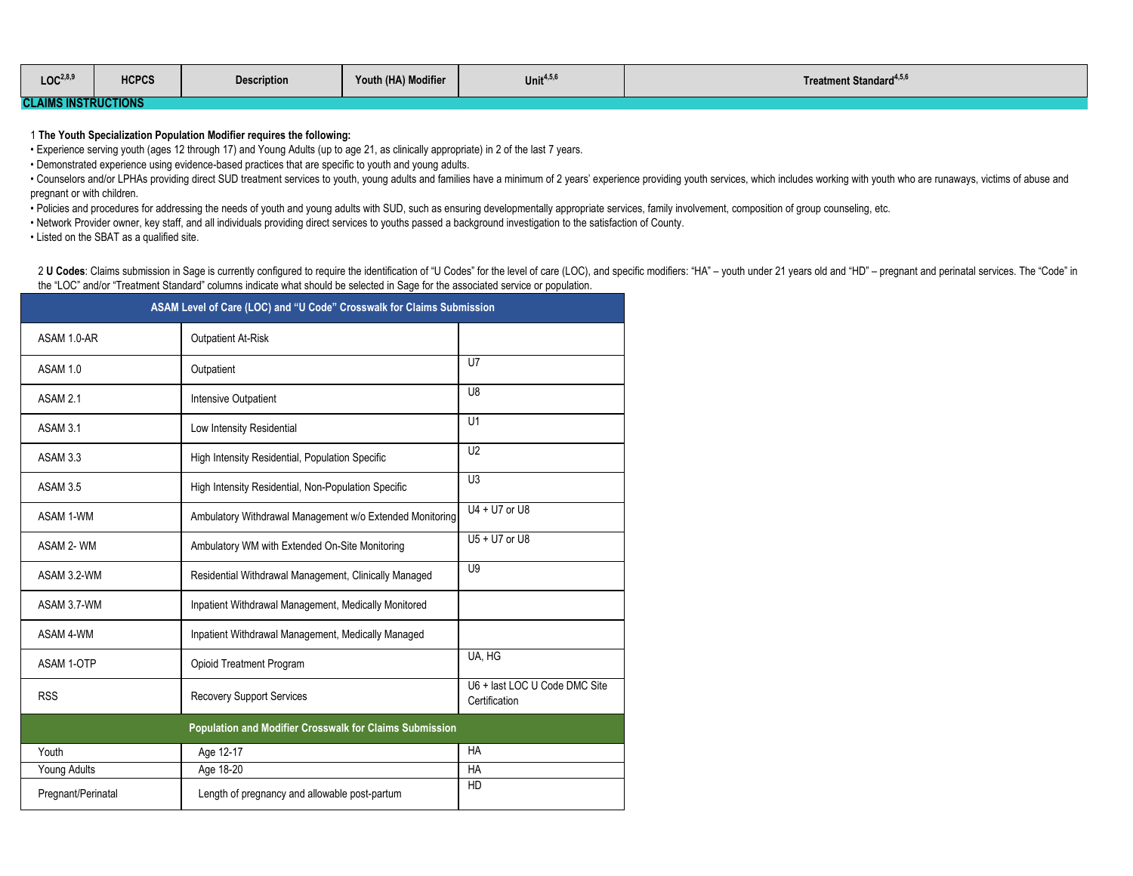| LOC <sup>2,8,9</sup>                                                  | <b>HCPCS</b> | <b>Description</b> | Youth (HA) Modifier | Unit $4,5,6$ | Treatment Standard <sup>4,5,9</sup> |  |
|-----------------------------------------------------------------------|--------------|--------------------|---------------------|--------------|-------------------------------------|--|
| <b>SATBUATIONS</b><br><b>CONTRACTOR</b><br><b>CLAIMS INSTRUCTIONS</b> |              |                    |                     |              |                                     |  |

1 **The Youth Specialization Population Modifier requires the following:**

• Experience serving youth (ages 12 through 17) and Young Adults (up to age 21, as clinically appropriate) in 2 of the last 7 years.

• Demonstrated experience using evidence-based practices that are specific to youth and young adults.

. Counselors and/or LPHAs providing direct SUD treatment services to youth, young adults and families have a minimum of 2 years' experience providing youth services, which includes working with youth who are runaways, vict pregnant or with children.

• Policies and procedures for addressing the needs of youth and young adults with SUD, such as ensuring developmentally appropriate services, family involvement, composition of group counseling, etc.

• Network Provider owner, key staff, and all individuals providing direct services to youths passed a background investigation to the satisfaction of County.

• Listed on the SBAT as a qualified site.

2 U Codes: Claims submission in Sage is currently configured to require the identification of "U Codes" for the level of care (LOC), and specific modifiers: "HA" - youth under 21 years old and "HD" - pregnant and perinatal the "LOC" and/or "Treatment Standard" columns indicate what should be selected in Sage for the associated service or population.

| ASAM Level of Care (LOC) and "U Code" Crosswalk for Claims Submission |                                                          |                                                |  |  |  |  |
|-----------------------------------------------------------------------|----------------------------------------------------------|------------------------------------------------|--|--|--|--|
| ASAM 1.0-AR                                                           | <b>Outpatient At-Risk</b>                                |                                                |  |  |  |  |
| ASAM 1.0                                                              | Outpatient                                               | U <sub>7</sub>                                 |  |  |  |  |
| ASAM 2.1                                                              | <b>Intensive Outpatient</b>                              | U <sub>8</sub>                                 |  |  |  |  |
| ASAM 3.1                                                              | Low Intensity Residential                                | U1                                             |  |  |  |  |
| ASAM 3.3                                                              | High Intensity Residential, Population Specific          | U <sub>2</sub>                                 |  |  |  |  |
| ASAM 3.5                                                              | High Intensity Residential, Non-Population Specific      | U <sub>3</sub>                                 |  |  |  |  |
| <b>ASAM 1-WM</b>                                                      | Ambulatory Withdrawal Management w/o Extended Monitoring | U4 + U7 or U8                                  |  |  |  |  |
| ASAM 2-WM                                                             | Ambulatory WM with Extended On-Site Monitoring           | U5 + U7 or U8                                  |  |  |  |  |
| ASAM 3.2-WM                                                           | Residential Withdrawal Management, Clinically Managed    | U <sub>9</sub>                                 |  |  |  |  |
| ASAM 3.7-WM                                                           | Inpatient Withdrawal Management, Medically Monitored     |                                                |  |  |  |  |
| ASAM 4-WM                                                             | Inpatient Withdrawal Management, Medically Managed       |                                                |  |  |  |  |
| ASAM 1-OTP                                                            | Opioid Treatment Program                                 | UA, HG                                         |  |  |  |  |
| <b>RSS</b>                                                            | <b>Recovery Support Services</b>                         | U6 + last LOC U Code DMC Site<br>Certification |  |  |  |  |
| Population and Modifier Crosswalk for Claims Submission               |                                                          |                                                |  |  |  |  |
| Youth                                                                 | Age 12-17                                                | <b>HA</b>                                      |  |  |  |  |
| Young Adults<br>Age 18-20                                             |                                                          | HA                                             |  |  |  |  |
| Pregnant/Perinatal                                                    | Length of pregnancy and allowable post-partum            | HD                                             |  |  |  |  |